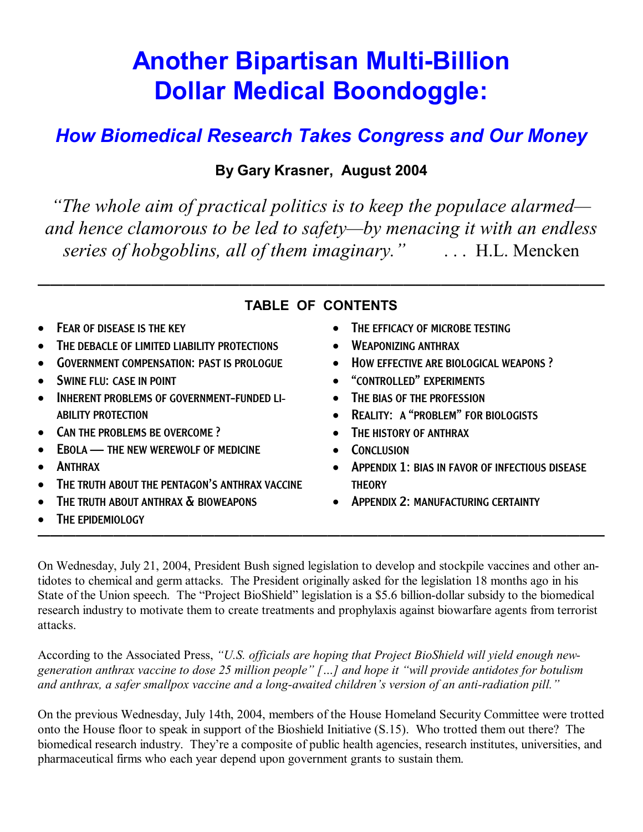# **Another Bipartisan Multi-Billion Dollar Medical Boondoggle:**

# *How Biomedical Research Takes Congress and Our Money*

### **By Gary Krasner, August 2004**

*"The whole aim of practical politics is to keep the populace alarmed and hence clamorous to be led to safety—by menacing it with an endless series of hobgoblins, all of them imaginary."* . . . H.L. Mencken

#### **————————————————————————————————————————————— TABLE OF CONTENTS**

#### FEAR OF DISEASE IS THE KEY

- THE DEBACLE OF LIMITED LIABILITY PROTECTIONS
- GOVERNMENT COMPENSATION: PAST IS PROLOGUE
- · SWINE FLU: CASE IN POINT
- · INHERENT PROBLEMS OF GOVERNMENT-FUNDED LI-ABILITY PROTECTION
- CAN THE PROBLEMS BE OVERCOME ?
- · EBOLA THE NEW WEREWOLF OF MEDICINE
- · ANTHRAX
- · THE TRUTH ABOUT THE PENTAGON'S ANTHRAX VACCINE
- THE TRUTH ABOUT ANTHRAX  $\delta$  bioweapons
- · THE EFFICACY OF MICROBE TESTING
- · WEAPONIZING ANTHRAX
- · HOW EFFECTIVE ARE BIOLOGICAL WEAPONS ?
- · "CONTROLLED" EXPERIMENTS
- · THE BIAS OF THE PROFESSION
- · REALITY: A "PROBLEM" FOR BIOLOGISTS
- · THE HISTORY OF ANTHRAX
- · CONCLUSION
- · APPENDIX 1: BIAS IN FAVOR OF INFECTIOUS DISEASE **THEORY**
- APPENDIX 2: MANUFACTURING CERTAINTY

THE EPIDEMIOLOGY

On Wednesday, July 21, 2004, President Bush signed legislation to develop and stockpile vaccines and other antidotes to chemical and germ attacks. The President originally asked for the legislation 18 months ago in his State of the Union speech. The "Project BioShield" legislation is a \$5.6 billion-dollar subsidy to the biomedical research industry to motivate them to create treatments and prophylaxis against biowarfare agents from terrorist attacks.

**—————————————————————————————————————————————**

According to the Associated Press, *"U.S. officials are hoping that Project BioShield will yield enough newgeneration anthrax vaccine to dose 25 million people" […] and hope it "will provide antidotes for botulism and anthrax, a safer smallpox vaccine and a long-awaited children's version of an anti-radiation pill."*

On the previous Wednesday, July 14th, 2004, members of the House Homeland Security Committee were trotted onto the House floor to speak in support of the Bioshield Initiative (S.15). Who trotted them out there? The biomedical research industry. They're a composite of public health agencies, research institutes, universities, and pharmaceutical firms who each year depend upon government grants to sustain them.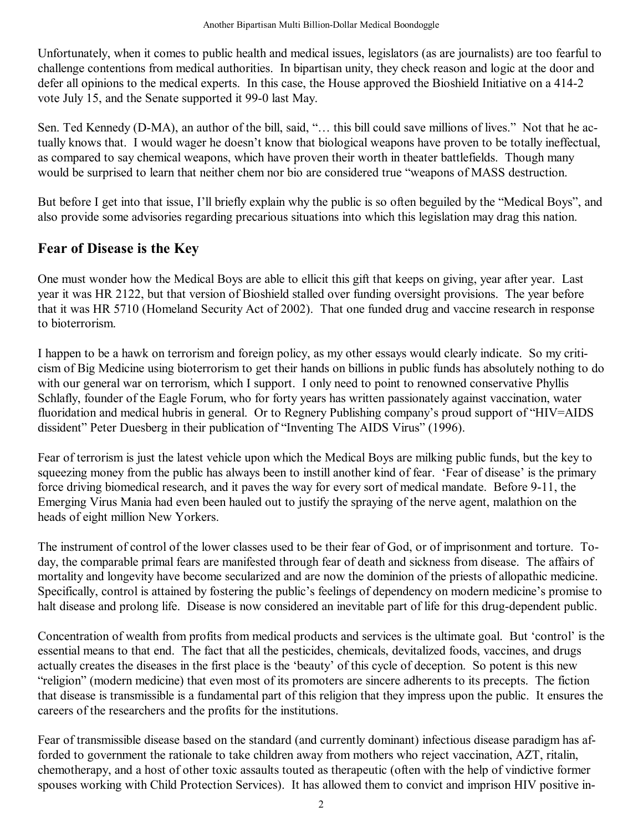Unfortunately, when it comes to public health and medical issues, legislators (as are journalists) are too fearful to challenge contentions from medical authorities. In bipartisan unity, they check reason and logic at the door and defer all opinions to the medical experts. In this case, the House approved the Bioshield Initiative on a 414-2 vote July 15, and the Senate supported it 99-0 last May.

Sen. Ted Kennedy (D-MA), an author of the bill, said, "… this bill could save millions of lives." Not that he actually knows that. I would wager he doesn't know that biological weapons have proven to be totally ineffectual, as compared to say chemical weapons, which have proven their worth in theater battlefields. Though many would be surprised to learn that neither chem nor bio are considered true "weapons of MASS destruction.

But before I get into that issue, I'll briefly explain why the public is so often beguiled by the "Medical Boys", and also provide some advisories regarding precarious situations into which this legislation may drag this nation.

#### **Fear of Disease is the Key**

One must wonder how the Medical Boys are able to ellicit this gift that keeps on giving, year after year. Last year it was HR 2122, but that version of Bioshield stalled over funding oversight provisions. The year before that it was HR 5710 (Homeland Security Act of 2002). That one funded drug and vaccine research in response to bioterrorism.

I happen to be a hawk on terrorism and foreign policy, as my other essays would clearly indicate. So my criticism of Big Medicine using bioterrorism to get their hands on billions in public funds has absolutely nothing to do with our general war on terrorism, which I support. I only need to point to renowned conservative Phyllis Schlafly, founder of the Eagle Forum, who for forty years has written passionately against vaccination, water fluoridation and medical hubris in general. Or to Regnery Publishing company's proud support of "HIV=AIDS dissident" Peter Duesberg in their publication of "Inventing The AIDS Virus" (1996).

Fear of terrorism is just the latest vehicle upon which the Medical Boys are milking public funds, but the key to squeezing money from the public has always been to instill another kind of fear. 'Fear of disease' is the primary force driving biomedical research, and it paves the way for every sort of medical mandate. Before 9-11, the Emerging Virus Mania had even been hauled out to justify the spraying of the nerve agent, malathion on the heads of eight million New Yorkers.

The instrument of control of the lower classes used to be their fear of God, or of imprisonment and torture. Today, the comparable primal fears are manifested through fear of death and sickness from disease. The affairs of mortality and longevity have become secularized and are now the dominion of the priests of allopathic medicine. Specifically, control is attained by fostering the public's feelings of dependency on modern medicine's promise to halt disease and prolong life. Disease is now considered an inevitable part of life for this drug-dependent public.

Concentration of wealth from profits from medical products and services is the ultimate goal. But 'control' is the essential means to that end. The fact that all the pesticides, chemicals, devitalized foods, vaccines, and drugs actually creates the diseases in the first place is the 'beauty' of this cycle of deception. So potent is this new "religion" (modern medicine) that even most of its promoters are sincere adherents to its precepts. The fiction that disease is transmissible is a fundamental part of this religion that they impress upon the public. It ensures the careers of the researchers and the profits for the institutions.

Fear of transmissible disease based on the standard (and currently dominant) infectious disease paradigm has afforded to government the rationale to take children away from mothers who reject vaccination, AZT, ritalin, chemotherapy, and a host of other toxic assaults touted as therapeutic (often with the help of vindictive former spouses working with Child Protection Services). It has allowed them to convict and imprison HIV positive in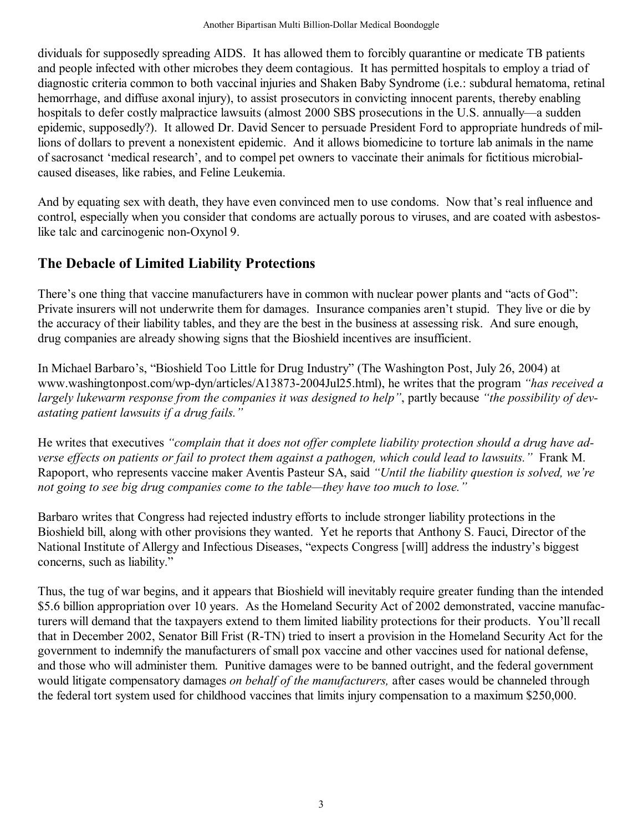dividuals for supposedly spreading AIDS. It has allowed them to forcibly quarantine or medicate TB patients and people infected with other microbes they deem contagious. It has permitted hospitals to employ a triad of diagnostic criteria common to both vaccinal injuries and Shaken Baby Syndrome (i.e.: subdural hematoma, retinal hemorrhage, and diffuse axonal injury), to assist prosecutors in convicting innocent parents, thereby enabling hospitals to defer costly malpractice lawsuits (almost 2000 SBS prosecutions in the U.S. annually—a sudden epidemic, supposedly?). It allowed Dr. David Sencer to persuade President Ford to appropriate hundreds of millions of dollars to prevent a nonexistent epidemic. And it allows biomedicine to torture lab animals in the name of sacrosanct 'medical research', and to compel pet owners to vaccinate their animals for fictitious microbialcaused diseases, like rabies, and Feline Leukemia.

And by equating sex with death, they have even convinced men to use condoms. Now that's real influence and control, especially when you consider that condoms are actually porous to viruses, and are coated with asbestoslike talc and carcinogenic non-Oxynol 9.

#### **The Debacle of Limited Liability Protections**

There's one thing that vaccine manufacturers have in common with nuclear power plants and "acts of God": Private insurers will not underwrite them for damages. Insurance companies aren't stupid. They live or die by the accuracy of their liability tables, and they are the best in the business at assessing risk. And sure enough, drug companies are already showing signs that the Bioshield incentives are insufficient.

In Michael Barbaro's, "Bioshield Too Little for Drug Industry" (The Washington Post, July 26, 2004) at www.washingtonpost.com/wp-dyn/articles/A13873-2004Jul25.html), he writes that the program *"has received a largely lukewarm response from the companies it was designed to help"*, partly because *"the possibility of devastating patient lawsuits if a drug fails."*

He writes that executives *"complain that it does not offer complete liability protection should a drug have adverse effects on patients or fail to protect them against a pathogen, which could lead to lawsuits."* Frank M. Rapoport, who represents vaccine maker Aventis Pasteur SA, said *"Until the liability question is solved, we're not going to see big drug companies come to the table—they have too much to lose."*

Barbaro writes that Congress had rejected industry efforts to include stronger liability protections in the Bioshield bill, along with other provisions they wanted. Yet he reports that Anthony S. Fauci, Director of the National Institute of Allergy and Infectious Diseases, "expects Congress [will] address the industry's biggest concerns, such as liability."

Thus, the tug of war begins, and it appears that Bioshield will inevitably require greater funding than the intended \$5.6 billion appropriation over 10 years. As the Homeland Security Act of 2002 demonstrated, vaccine manufacturers will demand that the taxpayers extend to them limited liability protections for their products. You'll recall that in December 2002, Senator Bill Frist (R-TN) tried to insert a provision in the Homeland Security Act for the government to indemnify the manufacturers of small pox vaccine and other vaccines used for national defense, and those who will administer them. Punitive damages were to be banned outright, and the federal government would litigate compensatory damages *on behalf of the manufacturers,* after cases would be channeled through the federal tort system used for childhood vaccines that limits injury compensation to a maximum \$250,000.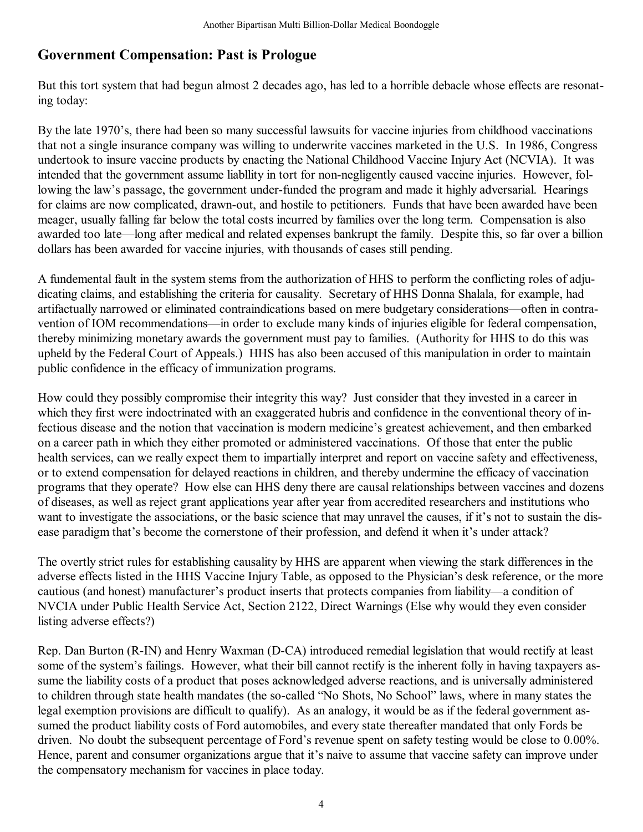#### **Government Compensation: Past is Prologue**

But this tort system that had begun almost 2 decades ago, has led to a horrible debacle whose effects are resonating today:

By the late 1970's, there had been so many successful lawsuits for vaccine injuries from childhood vaccinations that not a single insurance company was willing to underwrite vaccines marketed in the U.S. In 1986, Congress undertook to insure vaccine products by enacting the National Childhood Vaccine Injury Act (NCVIA). It was intended that the government assume liabllity in tort for non-negligently caused vaccine injuries. However, following the law's passage, the government under-funded the program and made it highly adversarial. Hearings for claims are now complicated, drawn-out, and hostile to petitioners. Funds that have been awarded have been meager, usually falling far below the total costs incurred by families over the long term. Compensation is also awarded too late—long after medical and related expenses bankrupt the family. Despite this, so far over a billion dollars has been awarded for vaccine injuries, with thousands of cases still pending.

A fundemental fault in the system stems from the authorization of HHS to perform the conflicting roles of adjudicating claims, and establishing the criteria for causality. Secretary of HHS Donna Shalala, for example, had artifactually narrowed or eliminated contraindications based on mere budgetary considerations—often in contravention of IOM recommendations—in order to exclude many kinds of injuries eligible for federal compensation, thereby minimizing monetary awards the government must pay to families. (Authority for HHS to do this was upheld by the Federal Court of Appeals.) HHS has also been accused of this manipulation in order to maintain public confidence in the efficacy of immunization programs.

How could they possibly compromise their integrity this way? Just consider that they invested in a career in which they first were indoctrinated with an exaggerated hubris and confidence in the conventional theory of infectious disease and the notion that vaccination is modern medicine's greatest achievement, and then embarked on a career path in which they either promoted or administered vaccinations. Of those that enter the public health services, can we really expect them to impartially interpret and report on vaccine safety and effectiveness, or to extend compensation for delayed reactions in children, and thereby undermine the efficacy of vaccination programs that they operate? How else can HHS deny there are causal relationships between vaccines and dozens of diseases, as well as reject grant applications year after year from accredited researchers and institutions who want to investigate the associations, or the basic science that may unravel the causes, if it's not to sustain the disease paradigm that's become the cornerstone of their profession, and defend it when it's under attack?

The overtly strict rules for establishing causality by HHS are apparent when viewing the stark differences in the adverse effects listed in the HHS Vaccine Injury Table, as opposed to the Physician's desk reference, or the more cautious (and honest) manufacturer's product inserts that protects companies from liability—a condition of NVCIA under Public Health Service Act, Section 2122, Direct Warnings (Else why would they even consider listing adverse effects?)

Rep. Dan Burton (R-IN) and Henry Waxman (D-CA) introduced remedial legislation that would rectify at least some of the system's failings. However, what their bill cannot rectify is the inherent folly in having taxpayers assume the liability costs of a product that poses acknowledged adverse reactions, and is universally administered to children through state health mandates (the so-called "No Shots, No School" laws, where in many states the legal exemption provisions are difficult to qualify). As an analogy, it would be as if the federal government assumed the product liability costs of Ford automobiles, and every state thereafter mandated that only Fords be driven. No doubt the subsequent percentage of Ford's revenue spent on safety testing would be close to 0.00%. Hence, parent and consumer organizations argue that it's naive to assume that vaccine safety can improve under the compensatory mechanism for vaccines in place today.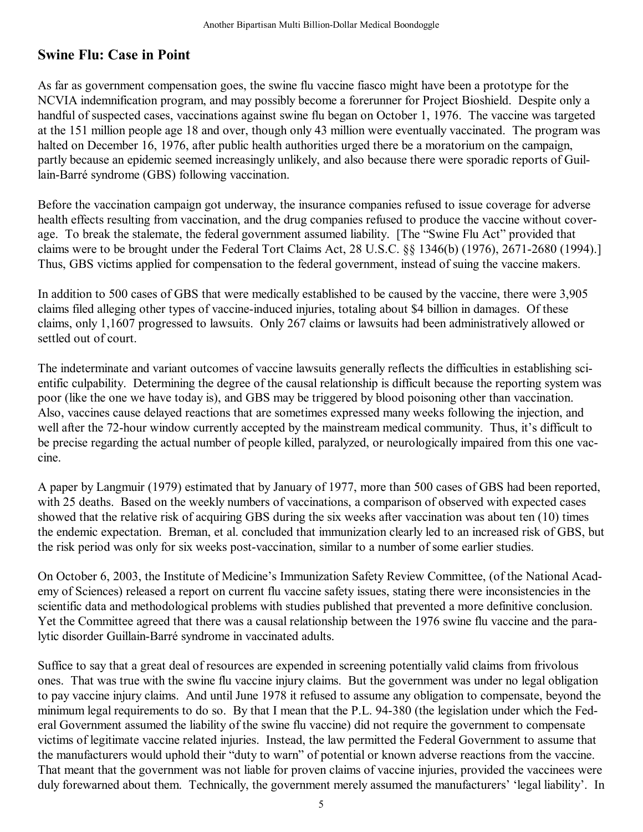#### **Swine Flu: Case in Point**

As far as government compensation goes, the swine flu vaccine fiasco might have been a prototype for the NCVIA indemnification program, and may possibly become a forerunner for Project Bioshield. Despite only a handful of suspected cases, vaccinations against swine flu began on October 1, 1976. The vaccine was targeted at the 151 million people age 18 and over, though only 43 million were eventually vaccinated. The program was halted on December 16, 1976, after public health authorities urged there be a moratorium on the campaign, partly because an epidemic seemed increasingly unlikely, and also because there were sporadic reports of Guillain-Barré syndrome (GBS) following vaccination.

Before the vaccination campaign got underway, the insurance companies refused to issue coverage for adverse health effects resulting from vaccination, and the drug companies refused to produce the vaccine without coverage. To break the stalemate, the federal government assumed liability. [The "Swine Flu Act" provided that claims were to be brought under the Federal Tort Claims Act, 28 U.S.C. §§ 1346(b) (1976), 2671-2680 (1994).] Thus, GBS victims applied for compensation to the federal government, instead of suing the vaccine makers.

In addition to 500 cases of GBS that were medically established to be caused by the vaccine, there were 3,905 claims filed alleging other types of vaccine-induced injuries, totaling about \$4 billion in damages. Of these claims, only 1,1607 progressed to lawsuits. Only 267 claims or lawsuits had been administratively allowed or settled out of court.

The indeterminate and variant outcomes of vaccine lawsuits generally reflects the difficulties in establishing scientific culpability. Determining the degree of the causal relationship is difficult because the reporting system was poor (like the one we have today is), and GBS may be triggered by blood poisoning other than vaccination. Also, vaccines cause delayed reactions that are sometimes expressed many weeks following the injection, and well after the 72-hour window currently accepted by the mainstream medical community. Thus, it's difficult to be precise regarding the actual number of people killed, paralyzed, or neurologically impaired from this one vaccine.

A paper by Langmuir (1979) estimated that by January of 1977, more than 500 cases of GBS had been reported, with 25 deaths. Based on the weekly numbers of vaccinations, a comparison of observed with expected cases showed that the relative risk of acquiring GBS during the six weeks after vaccination was about ten (10) times the endemic expectation. Breman, et al. concluded that immunization clearly led to an increased risk of GBS, but the risk period was only for six weeks post-vaccination, similar to a number of some earlier studies.

On October 6, 2003, the Institute of Medicine's Immunization Safety Review Committee, (of the National Academy of Sciences) released a report on current flu vaccine safety issues, stating there were inconsistencies in the scientific data and methodological problems with studies published that prevented a more definitive conclusion. Yet the Committee agreed that there was a causal relationship between the 1976 swine flu vaccine and the paralytic disorder Guillain-Barré syndrome in vaccinated adults.

Suffice to say that a great deal of resources are expended in screening potentially valid claims from frivolous ones. That was true with the swine flu vaccine injury claims. But the government was under no legal obligation to pay vaccine injury claims. And until June 1978 it refused to assume any obligation to compensate, beyond the minimum legal requirements to do so. By that I mean that the P.L. 94-380 (the legislation under which the Federal Government assumed the liability of the swine flu vaccine) did not require the government to compensate victims of legitimate vaccine related injuries. Instead, the law permitted the Federal Government to assume that the manufacturers would uphold their "duty to warn" of potential or known adverse reactions from the vaccine. That meant that the government was not liable for proven claims of vaccine injuries, provided the vaccinees were duly forewarned about them. Technically, the government merely assumed the manufacturers' 'legal liability'. In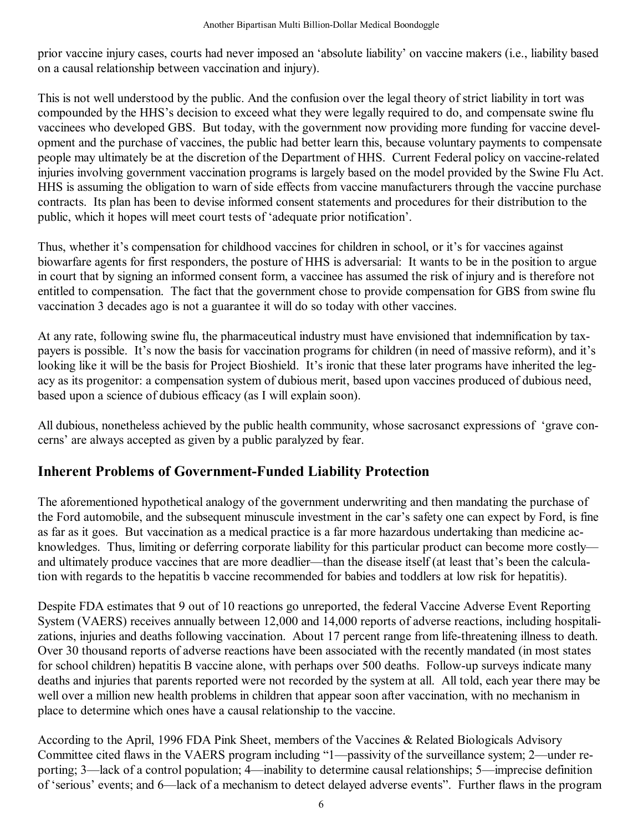prior vaccine injury cases, courts had never imposed an 'absolute liability' on vaccine makers (i.e., liability based on a causal relationship between vaccination and injury).

This is not well understood by the public. And the confusion over the legal theory of strict liability in tort was compounded by the HHS's decision to exceed what they were legally required to do, and compensate swine flu vaccinees who developed GBS. But today, with the government now providing more funding for vaccine development and the purchase of vaccines, the public had better learn this, because voluntary payments to compensate people may ultimately be at the discretion of the Department of HHS. Current Federal policy on vaccine-related injuries involving government vaccination programs is largely based on the model provided by the Swine Flu Act. HHS is assuming the obligation to warn of side effects from vaccine manufacturers through the vaccine purchase contracts. Its plan has been to devise informed consent statements and procedures for their distribution to the public, which it hopes will meet court tests of 'adequate prior notification'.

Thus, whether it's compensation for childhood vaccines for children in school, or it's for vaccines against biowarfare agents for first responders, the posture of HHS is adversarial: It wants to be in the position to argue in court that by signing an informed consent form, a vaccinee has assumed the risk of injury and is therefore not entitled to compensation. The fact that the government chose to provide compensation for GBS from swine flu vaccination 3 decades ago is not a guarantee it will do so today with other vaccines.

At any rate, following swine flu, the pharmaceutical industry must have envisioned that indemnification by taxpayers is possible. It's now the basis for vaccination programs for children (in need of massive reform), and it's looking like it will be the basis for Project Bioshield. It's ironic that these later programs have inherited the legacy as its progenitor: a compensation system of dubious merit, based upon vaccines produced of dubious need, based upon a science of dubious efficacy (as I will explain soon).

All dubious, nonetheless achieved by the public health community, whose sacrosanct expressions of 'grave concerns' are always accepted as given by a public paralyzed by fear.

#### **Inherent Problems of Government-Funded Liability Protection**

The aforementioned hypothetical analogy of the government underwriting and then mandating the purchase of the Ford automobile, and the subsequent minuscule investment in the car's safety one can expect by Ford, is fine as far as it goes. But vaccination as a medical practice is a far more hazardous undertaking than medicine acknowledges. Thus, limiting or deferring corporate liability for this particular product can become more costly and ultimately produce vaccines that are more deadlier—than the disease itself (at least that's been the calculation with regards to the hepatitis b vaccine recommended for babies and toddlers at low risk for hepatitis).

Despite FDA estimates that 9 out of 10 reactions go unreported, the federal Vaccine Adverse Event Reporting System (VAERS) receives annually between 12,000 and 14,000 reports of adverse reactions, including hospitalizations, injuries and deaths following vaccination. About 17 percent range from life-threatening illness to death. Over 30 thousand reports of adverse reactions have been associated with the recently mandated (in most states for school children) hepatitis B vaccine alone, with perhaps over 500 deaths. Follow-up surveys indicate many deaths and injuries that parents reported were not recorded by the system at all. All told, each year there may be well over a million new health problems in children that appear soon after vaccination, with no mechanism in place to determine which ones have a causal relationship to the vaccine.

According to the April, 1996 FDA Pink Sheet, members of the Vaccines & Related Biologicals Advisory Committee cited flaws in the VAERS program including "1—passivity of the surveillance system; 2—under reporting; 3—lack of a control population; 4—inability to determine causal relationships; 5—imprecise definition of 'serious' events; and 6—lack of a mechanism to detect delayed adverse events". Further flaws in the program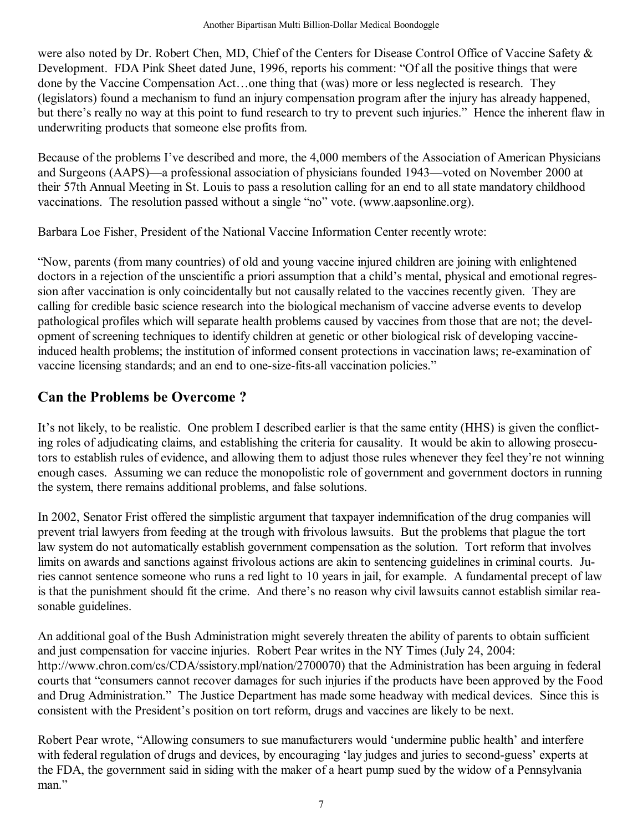were also noted by Dr. Robert Chen, MD, Chief of the Centers for Disease Control Office of Vaccine Safety & Development. FDA Pink Sheet dated June, 1996, reports his comment: "Of all the positive things that were done by the Vaccine Compensation Act…one thing that (was) more or less neglected is research. They (legislators) found a mechanism to fund an injury compensation program after the injury has already happened, but there's really no way at this point to fund research to try to prevent such injuries." Hence the inherent flaw in underwriting products that someone else profits from.

Because of the problems I've described and more, the 4,000 members of the Association of American Physicians and Surgeons (AAPS)—a professional association of physicians founded 1943—voted on November 2000 at their 57th Annual Meeting in St. Louis to pass a resolution calling for an end to all state mandatory childhood vaccinations. The resolution passed without a single "no" vote. (www.aapsonline.org).

Barbara Loe Fisher, President of the National Vaccine Information Center recently wrote:

"Now, parents (from many countries) of old and young vaccine injured children are joining with enlightened doctors in a rejection of the unscientific a priori assumption that a child's mental, physical and emotional regression after vaccination is only coincidentally but not causally related to the vaccines recently given. They are calling for credible basic science research into the biological mechanism of vaccine adverse events to develop pathological profiles which will separate health problems caused by vaccines from those that are not; the development of screening techniques to identify children at genetic or other biological risk of developing vaccineinduced health problems; the institution of informed consent protections in vaccination laws; re-examination of vaccine licensing standards; and an end to one-size-fits-all vaccination policies."

#### **Can the Problems be Overcome ?**

It's not likely, to be realistic. One problem I described earlier is that the same entity (HHS) is given the conflicting roles of adjudicating claims, and establishing the criteria for causality. It would be akin to allowing prosecutors to establish rules of evidence, and allowing them to adjust those rules whenever they feel they're not winning enough cases. Assuming we can reduce the monopolistic role of government and government doctors in running the system, there remains additional problems, and false solutions.

In 2002, Senator Frist offered the simplistic argument that taxpayer indemnification of the drug companies will prevent trial lawyers from feeding at the trough with frivolous lawsuits. But the problems that plague the tort law system do not automatically establish government compensation as the solution. Tort reform that involves limits on awards and sanctions against frivolous actions are akin to sentencing guidelines in criminal courts. Juries cannot sentence someone who runs a red light to 10 years in jail, for example. A fundamental precept of law is that the punishment should fit the crime. And there's no reason why civil lawsuits cannot establish similar reasonable guidelines.

An additional goal of the Bush Administration might severely threaten the ability of parents to obtain sufficient and just compensation for vaccine injuries. Robert Pear writes in the NY Times (July 24, 2004: http://www.chron.com/cs/CDA/ssistory.mpl/nation/2700070) that the Administration has been arguing in federal courts that "consumers cannot recover damages for such injuries if the products have been approved by the Food and Drug Administration." The Justice Department has made some headway with medical devices. Since this is consistent with the President's position on tort reform, drugs and vaccines are likely to be next.

Robert Pear wrote, "Allowing consumers to sue manufacturers would 'undermine public health' and interfere with federal regulation of drugs and devices, by encouraging 'lay judges and juries to second-guess' experts at the FDA, the government said in siding with the maker of a heart pump sued by the widow of a Pennsylvania man."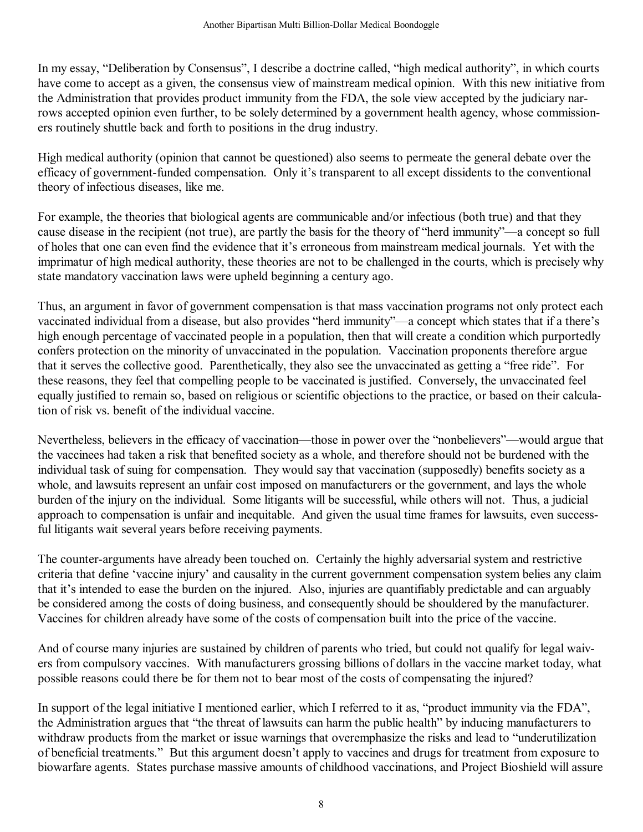In my essay, "Deliberation by Consensus", I describe a doctrine called, "high medical authority", in which courts have come to accept as a given, the consensus view of mainstream medical opinion. With this new initiative from the Administration that provides product immunity from the FDA, the sole view accepted by the judiciary narrows accepted opinion even further, to be solely determined by a government health agency, whose commissioners routinely shuttle back and forth to positions in the drug industry.

High medical authority (opinion that cannot be questioned) also seems to permeate the general debate over the efficacy of government-funded compensation. Only it's transparent to all except dissidents to the conventional theory of infectious diseases, like me.

For example, the theories that biological agents are communicable and/or infectious (both true) and that they cause disease in the recipient (not true), are partly the basis for the theory of "herd immunity"—a concept so full of holes that one can even find the evidence that it's erroneous from mainstream medical journals. Yet with the imprimatur of high medical authority, these theories are not to be challenged in the courts, which is precisely why state mandatory vaccination laws were upheld beginning a century ago.

Thus, an argument in favor of government compensation is that mass vaccination programs not only protect each vaccinated individual from a disease, but also provides "herd immunity"—a concept which states that if a there's high enough percentage of vaccinated people in a population, then that will create a condition which purportedly confers protection on the minority of unvaccinated in the population. Vaccination proponents therefore argue that it serves the collective good. Parenthetically, they also see the unvaccinated as getting a "free ride". For these reasons, they feel that compelling people to be vaccinated is justified. Conversely, the unvaccinated feel equally justified to remain so, based on religious or scientific objections to the practice, or based on their calculation of risk vs. benefit of the individual vaccine.

Nevertheless, believers in the efficacy of vaccination—those in power over the "nonbelievers"—would argue that the vaccinees had taken a risk that benefited society as a whole, and therefore should not be burdened with the individual task of suing for compensation. They would say that vaccination (supposedly) benefits society as a whole, and lawsuits represent an unfair cost imposed on manufacturers or the government, and lays the whole burden of the injury on the individual. Some litigants will be successful, while others will not. Thus, a judicial approach to compensation is unfair and inequitable. And given the usual time frames for lawsuits, even successful litigants wait several years before receiving payments.

The counter-arguments have already been touched on. Certainly the highly adversarial system and restrictive criteria that define 'vaccine injury' and causality in the current government compensation system belies any claim that it's intended to ease the burden on the injured. Also, injuries are quantifiably predictable and can arguably be considered among the costs of doing business, and consequently should be shouldered by the manufacturer. Vaccines for children already have some of the costs of compensation built into the price of the vaccine.

And of course many injuries are sustained by children of parents who tried, but could not qualify for legal waivers from compulsory vaccines. With manufacturers grossing billions of dollars in the vaccine market today, what possible reasons could there be for them not to bear most of the costs of compensating the injured?

In support of the legal initiative I mentioned earlier, which I referred to it as, "product immunity via the FDA", the Administration argues that "the threat of lawsuits can harm the public health" by inducing manufacturers to withdraw products from the market or issue warnings that overemphasize the risks and lead to "underutilization of beneficial treatments." But this argument doesn't apply to vaccines and drugs for treatment from exposure to biowarfare agents. States purchase massive amounts of childhood vaccinations, and Project Bioshield will assure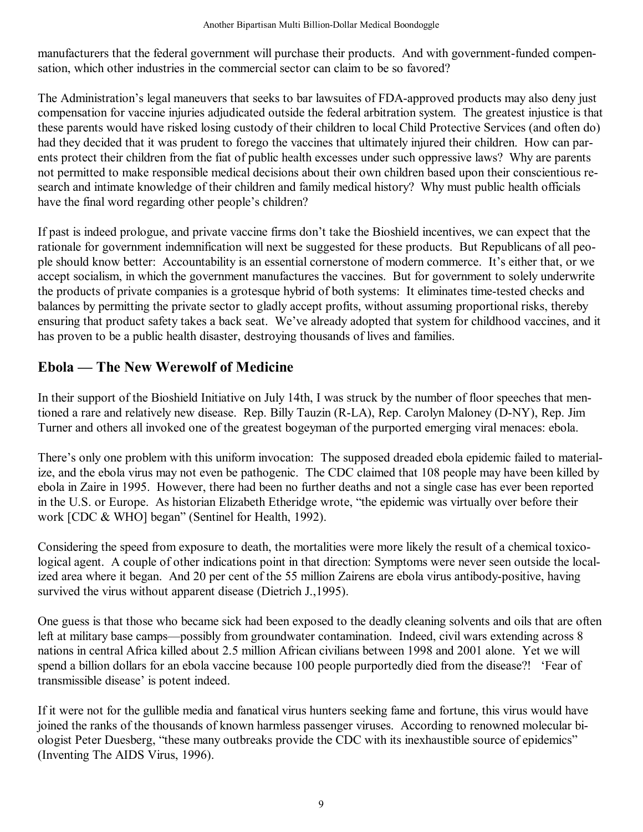manufacturers that the federal government will purchase their products. And with government-funded compensation, which other industries in the commercial sector can claim to be so favored?

The Administration's legal maneuvers that seeks to bar lawsuites of FDA-approved products may also deny just compensation for vaccine injuries adjudicated outside the federal arbitration system. The greatest injustice is that these parents would have risked losing custody of their children to local Child Protective Services (and often do) had they decided that it was prudent to forego the vaccines that ultimately injured their children. How can parents protect their children from the fiat of public health excesses under such oppressive laws? Why are parents not permitted to make responsible medical decisions about their own children based upon their conscientious research and intimate knowledge of their children and family medical history? Why must public health officials have the final word regarding other people's children?

If past is indeed prologue, and private vaccine firms don't take the Bioshield incentives, we can expect that the rationale for government indemnification will next be suggested for these products. But Republicans of all people should know better: Accountability is an essential cornerstone of modern commerce. It's either that, or we accept socialism, in which the government manufactures the vaccines. But for government to solely underwrite the products of private companies is a grotesque hybrid of both systems: It eliminates time-tested checks and balances by permitting the private sector to gladly accept profits, without assuming proportional risks, thereby ensuring that product safety takes a back seat. We've already adopted that system for childhood vaccines, and it has proven to be a public health disaster, destroying thousands of lives and families.

#### **Ebola — The New Werewolf of Medicine**

In their support of the Bioshield Initiative on July 14th, I was struck by the number of floor speeches that mentioned a rare and relatively new disease. Rep. Billy Tauzin (R-LA), Rep. Carolyn Maloney (D-NY), Rep. Jim Turner and others all invoked one of the greatest bogeyman of the purported emerging viral menaces: ebola.

There's only one problem with this uniform invocation: The supposed dreaded ebola epidemic failed to materialize, and the ebola virus may not even be pathogenic. The CDC claimed that 108 people may have been killed by ebola in Zaire in 1995. However, there had been no further deaths and not a single case has ever been reported in the U.S. or Europe. As historian Elizabeth Etheridge wrote, "the epidemic was virtually over before their work [CDC & WHO] began" (Sentinel for Health, 1992).

Considering the speed from exposure to death, the mortalities were more likely the result of a chemical toxicological agent. A couple of other indications point in that direction: Symptoms were never seen outside the localized area where it began. And 20 per cent of the 55 million Zairens are ebola virus antibody-positive, having survived the virus without apparent disease (Dietrich J.,1995).

One guess is that those who became sick had been exposed to the deadly cleaning solvents and oils that are often left at military base camps—possibly from groundwater contamination. Indeed, civil wars extending across 8 nations in central Africa killed about 2.5 million African civilians between 1998 and 2001 alone. Yet we will spend a billion dollars for an ebola vaccine because 100 people purportedly died from the disease?! 'Fear of transmissible disease' is potent indeed.

If it were not for the gullible media and fanatical virus hunters seeking fame and fortune, this virus would have joined the ranks of the thousands of known harmless passenger viruses. According to renowned molecular biologist Peter Duesberg, "these many outbreaks provide the CDC with its inexhaustible source of epidemics" (Inventing The AIDS Virus, 1996).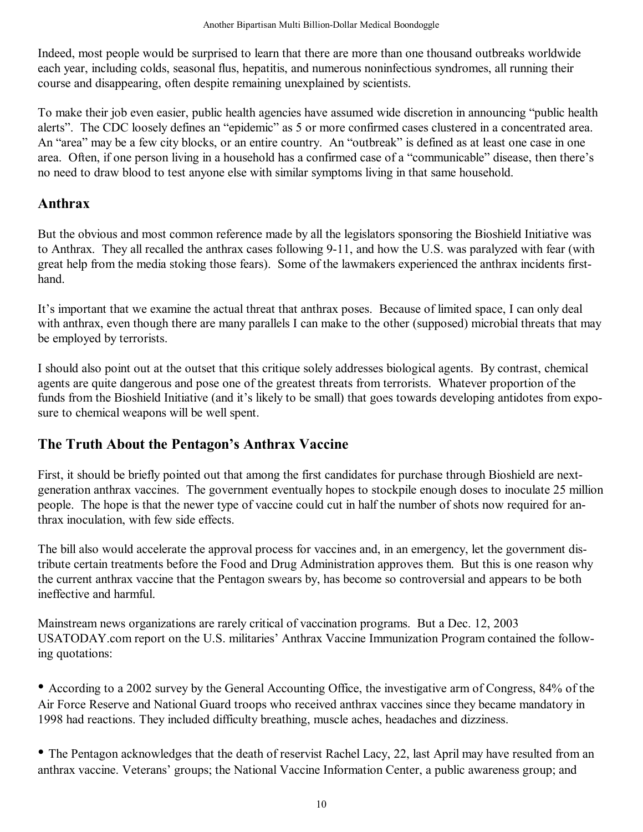Indeed, most people would be surprised to learn that there are more than one thousand outbreaks worldwide each year, including colds, seasonal flus, hepatitis, and numerous noninfectious syndromes, all running their course and disappearing, often despite remaining unexplained by scientists.

To make their job even easier, public health agencies have assumed wide discretion in announcing "public health alerts". The CDC loosely defines an "epidemic" as 5 or more confirmed cases clustered in a concentrated area. An "area" may be a few city blocks, or an entire country. An "outbreak" is defined as at least one case in one area. Often, if one person living in a household has a confirmed case of a "communicable" disease, then there's no need to draw blood to test anyone else with similar symptoms living in that same household.

#### **Anthrax**

But the obvious and most common reference made by all the legislators sponsoring the Bioshield Initiative was to Anthrax. They all recalled the anthrax cases following 9-11, and how the U.S. was paralyzed with fear (with great help from the media stoking those fears). Some of the lawmakers experienced the anthrax incidents firsthand.

It's important that we examine the actual threat that anthrax poses. Because of limited space, I can only deal with anthrax, even though there are many parallels I can make to the other (supposed) microbial threats that may be employed by terrorists.

I should also point out at the outset that this critique solely addresses biological agents. By contrast, chemical agents are quite dangerous and pose one of the greatest threats from terrorists. Whatever proportion of the funds from the Bioshield Initiative (and it's likely to be small) that goes towards developing antidotes from exposure to chemical weapons will be well spent.

#### **The Truth About the Pentagon's Anthrax Vaccine**

First, it should be briefly pointed out that among the first candidates for purchase through Bioshield are nextgeneration anthrax vaccines. The government eventually hopes to stockpile enough doses to inoculate 25 million people. The hope is that the newer type of vaccine could cut in half the number of shots now required for anthrax inoculation, with few side effects.

The bill also would accelerate the approval process for vaccines and, in an emergency, let the government distribute certain treatments before the Food and Drug Administration approves them. But this is one reason why the current anthrax vaccine that the Pentagon swears by, has become so controversial and appears to be both ineffective and harmful.

Mainstream news organizations are rarely critical of vaccination programs. But a Dec. 12, 2003 USATODAY.com report on the U.S. militaries' Anthrax Vaccine Immunization Program contained the following quotations:

• According to a 2002 survey by the General Accounting Office, the investigative arm of Congress, 84% of the Air Force Reserve and National Guard troops who received anthrax vaccines since they became mandatory in 1998 had reactions. They included difficulty breathing, muscle aches, headaches and dizziness.

• The Pentagon acknowledges that the death of reservist Rachel Lacy, 22, last April may have resulted from an anthrax vaccine. Veterans' groups; the National Vaccine Information Center, a public awareness group; and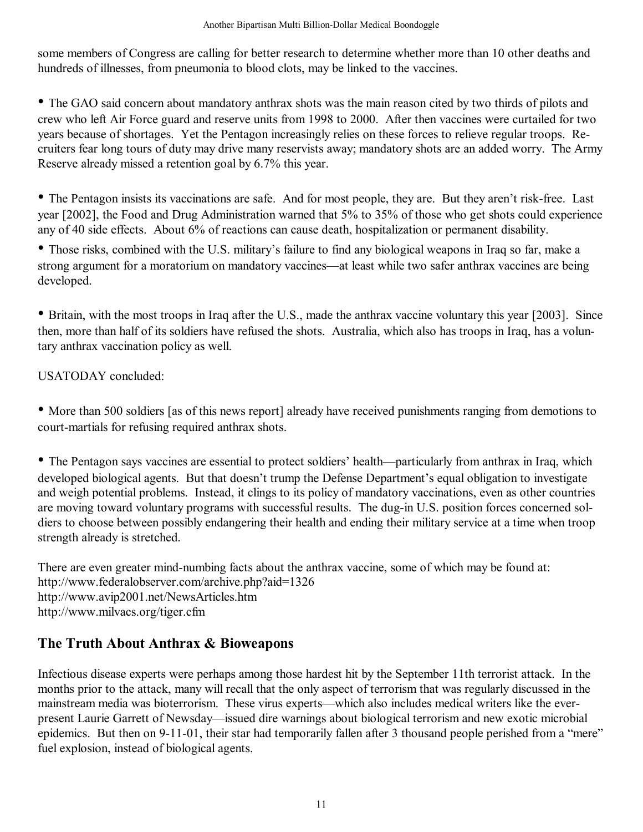some members of Congress are calling for better research to determine whether more than 10 other deaths and hundreds of illnesses, from pneumonia to blood clots, may be linked to the vaccines.

• The GAO said concern about mandatory anthrax shots was the main reason cited by two thirds of pilots and crew who left Air Force guard and reserve units from 1998 to 2000. After then vaccines were curtailed for two years because of shortages. Yet the Pentagon increasingly relies on these forces to relieve regular troops. Recruiters fear long tours of duty may drive many reservists away; mandatory shots are an added worry. The Army Reserve already missed a retention goal by 6.7% this year.

• The Pentagon insists its vaccinations are safe. And for most people, they are. But they aren't risk-free. Last year [2002], the Food and Drug Administration warned that 5% to 35% of those who get shots could experience any of 40 side effects. About 6% of reactions can cause death, hospitalization or permanent disability.

• Those risks, combined with the U.S. military's failure to find any biological weapons in Iraq so far, make a strong argument for a moratorium on mandatory vaccines—at least while two safer anthrax vaccines are being developed.

• Britain, with the most troops in Iraq after the U.S., made the anthrax vaccine voluntary this year [2003]. Since then, more than half of its soldiers have refused the shots. Australia, which also has troops in Iraq, has a voluntary anthrax vaccination policy as well.

USATODAY concluded:

• More than 500 soldiers [as of this news report] already have received punishments ranging from demotions to court-martials for refusing required anthrax shots.

• The Pentagon says vaccines are essential to protect soldiers' health—particularly from anthrax in Iraq, which developed biological agents. But that doesn't trump the Defense Department's equal obligation to investigate and weigh potential problems. Instead, it clings to its policy of mandatory vaccinations, even as other countries are moving toward voluntary programs with successful results. The dug-in U.S. position forces concerned soldiers to choose between possibly endangering their health and ending their military service at a time when troop strength already is stretched.

There are even greater mind-numbing facts about the anthrax vaccine, some of which may be found at: http://www.federalobserver.com/archive.php?aid=1326 http://www.avip2001.net/NewsArticles.htm http://www.milvacs.org/tiger.cfm

#### **The Truth About Anthrax & Bioweapons**

Infectious disease experts were perhaps among those hardest hit by the September 11th terrorist attack. In the months prior to the attack, many will recall that the only aspect of terrorism that was regularly discussed in the mainstream media was bioterrorism. These virus experts—which also includes medical writers like the everpresent Laurie Garrett of Newsday—issued dire warnings about biological terrorism and new exotic microbial epidemics. But then on 9-11-01, their star had temporarily fallen after 3 thousand people perished from a "mere" fuel explosion, instead of biological agents.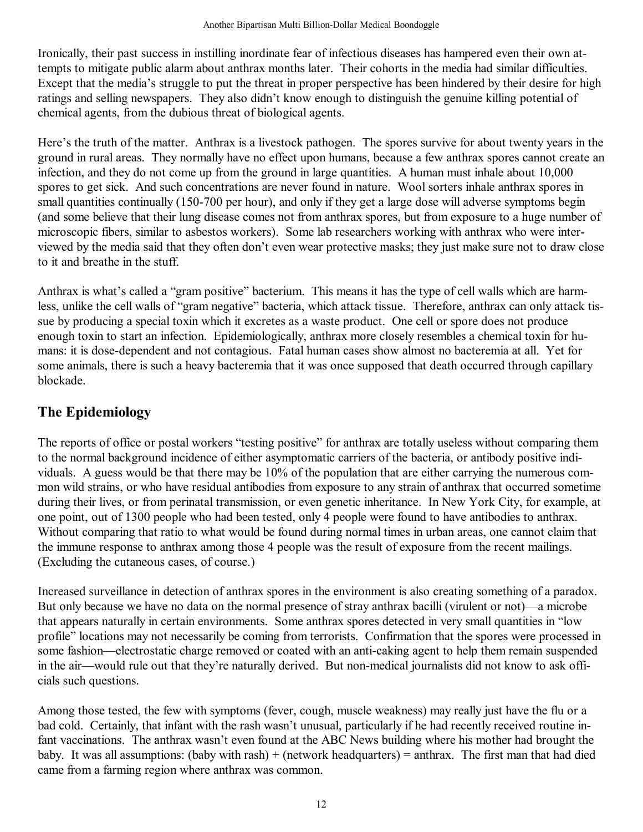Ironically, their past success in instilling inordinate fear of infectious diseases has hampered even their own attempts to mitigate public alarm about anthrax months later. Their cohorts in the media had similar difficulties. Except that the media's struggle to put the threat in proper perspective has been hindered by their desire for high ratings and selling newspapers. They also didn't know enough to distinguish the genuine killing potential of chemical agents, from the dubious threat of biological agents.

Here's the truth of the matter. Anthrax is a livestock pathogen. The spores survive for about twenty years in the ground in rural areas. They normally have no effect upon humans, because a few anthrax spores cannot create an infection, and they do not come up from the ground in large quantities. A human must inhale about 10,000 spores to get sick. And such concentrations are never found in nature. Wool sorters inhale anthrax spores in small quantities continually (150-700 per hour), and only if they get a large dose will adverse symptoms begin (and some believe that their lung disease comes not from anthrax spores, but from exposure to a huge number of microscopic fibers, similar to asbestos workers). Some lab researchers working with anthrax who were interviewed by the media said that they often don't even wear protective masks; they just make sure not to draw close to it and breathe in the stuff.

Anthrax is what's called a "gram positive" bacterium. This means it has the type of cell walls which are harmless, unlike the cell walls of "gram negative" bacteria, which attack tissue. Therefore, anthrax can only attack tissue by producing a special toxin which it excretes as a waste product. One cell or spore does not produce enough toxin to start an infection. Epidemiologically, anthrax more closely resembles a chemical toxin for humans: it is dose-dependent and not contagious. Fatal human cases show almost no bacteremia at all. Yet for some animals, there is such a heavy bacteremia that it was once supposed that death occurred through capillary blockade.

#### **The Epidemiology**

The reports of office or postal workers "testing positive" for anthrax are totally useless without comparing them to the normal background incidence of either asymptomatic carriers of the bacteria, or antibody positive individuals. A guess would be that there may be 10% of the population that are either carrying the numerous common wild strains, or who have residual antibodies from exposure to any strain of anthrax that occurred sometime during their lives, or from perinatal transmission, or even genetic inheritance. In New York City, for example, at one point, out of 1300 people who had been tested, only 4 people were found to have antibodies to anthrax. Without comparing that ratio to what would be found during normal times in urban areas, one cannot claim that the immune response to anthrax among those 4 people was the result of exposure from the recent mailings. (Excluding the cutaneous cases, of course.)

Increased surveillance in detection of anthrax spores in the environment is also creating something of a paradox. But only because we have no data on the normal presence of stray anthrax bacilli (virulent or not)—a microbe that appears naturally in certain environments. Some anthrax spores detected in very small quantities in "low profile" locations may not necessarily be coming from terrorists. Confirmation that the spores were processed in some fashion—electrostatic charge removed or coated with an anti-caking agent to help them remain suspended in the air—would rule out that they're naturally derived. But non-medical journalists did not know to ask officials such questions.

Among those tested, the few with symptoms (fever, cough, muscle weakness) may really just have the flu or a bad cold. Certainly, that infant with the rash wasn't unusual, particularly if he had recently received routine infant vaccinations. The anthrax wasn't even found at the ABC News building where his mother had brought the baby. It was all assumptions: (baby with rash) + (network headquarters) = anthrax. The first man that had died came from a farming region where anthrax was common.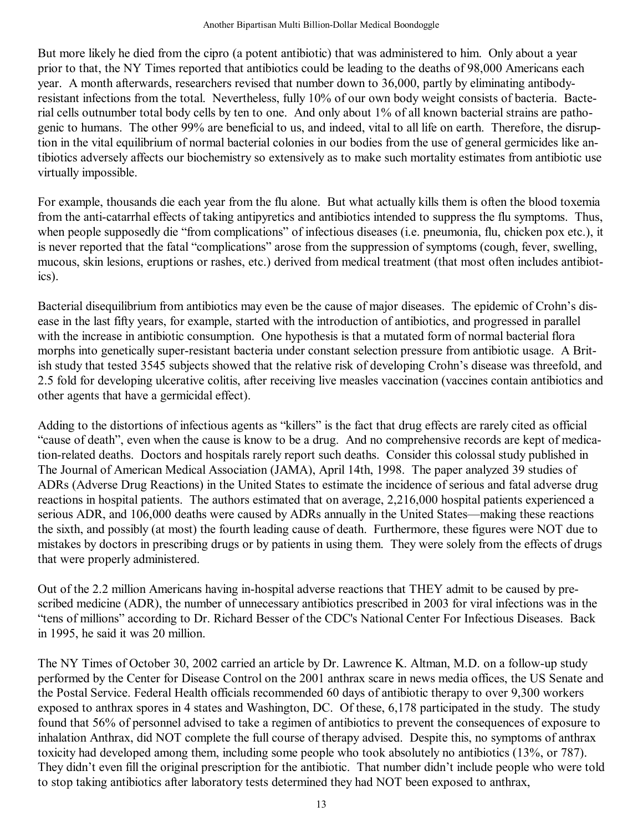But more likely he died from the cipro (a potent antibiotic) that was administered to him. Only about a year prior to that, the NY Times reported that antibiotics could be leading to the deaths of 98,000 Americans each year. A month afterwards, researchers revised that number down to 36,000, partly by eliminating antibodyresistant infections from the total. Nevertheless, fully 10% of our own body weight consists of bacteria. Bacterial cells outnumber total body cells by ten to one. And only about 1% of all known bacterial strains are pathogenic to humans. The other 99% are beneficial to us, and indeed, vital to all life on earth. Therefore, the disruption in the vital equilibrium of normal bacterial colonies in our bodies from the use of general germicides like antibiotics adversely affects our biochemistry so extensively as to make such mortality estimates from antibiotic use virtually impossible.

For example, thousands die each year from the flu alone. But what actually kills them is often the blood toxemia from the anti-catarrhal effects of taking antipyretics and antibiotics intended to suppress the flu symptoms. Thus, when people supposedly die "from complications" of infectious diseases (i.e. pneumonia, flu, chicken pox etc.), it is never reported that the fatal "complications" arose from the suppression of symptoms (cough, fever, swelling, mucous, skin lesions, eruptions or rashes, etc.) derived from medical treatment (that most often includes antibiotics).

Bacterial disequilibrium from antibiotics may even be the cause of major diseases. The epidemic of Crohn's disease in the last fifty years, for example, started with the introduction of antibiotics, and progressed in parallel with the increase in antibiotic consumption. One hypothesis is that a mutated form of normal bacterial flora morphs into genetically super-resistant bacteria under constant selection pressure from antibiotic usage. A British study that tested 3545 subjects showed that the relative risk of developing Crohn's disease was threefold, and 2.5 fold for developing ulcerative colitis, after receiving live measles vaccination (vaccines contain antibiotics and other agents that have a germicidal effect).

Adding to the distortions of infectious agents as "killers" is the fact that drug effects are rarely cited as official "cause of death", even when the cause is know to be a drug. And no comprehensive records are kept of medication-related deaths. Doctors and hospitals rarely report such deaths. Consider this colossal study published in The Journal of American Medical Association (JAMA), April 14th, 1998. The paper analyzed 39 studies of ADRs (Adverse Drug Reactions) in the United States to estimate the incidence of serious and fatal adverse drug reactions in hospital patients. The authors estimated that on average, 2,216,000 hospital patients experienced a serious ADR, and 106,000 deaths were caused by ADRs annually in the United States—making these reactions the sixth, and possibly (at most) the fourth leading cause of death. Furthermore, these figures were NOT due to mistakes by doctors in prescribing drugs or by patients in using them. They were solely from the effects of drugs that were properly administered.

Out of the 2.2 million Americans having in-hospital adverse reactions that THEY admit to be caused by prescribed medicine (ADR), the number of unnecessary antibiotics prescribed in 2003 for viral infections was in the "tens of millions" according to Dr. Richard Besser of the CDC's National Center For Infectious Diseases. Back in 1995, he said it was 20 million.

The NY Times of October 30, 2002 carried an article by Dr. Lawrence K. Altman, M.D. on a follow-up study performed by the Center for Disease Control on the 2001 anthrax scare in news media offices, the US Senate and the Postal Service. Federal Health officials recommended 60 days of antibiotic therapy to over 9,300 workers exposed to anthrax spores in 4 states and Washington, DC. Of these, 6,178 participated in the study. The study found that 56% of personnel advised to take a regimen of antibiotics to prevent the consequences of exposure to inhalation Anthrax, did NOT complete the full course of therapy advised. Despite this, no symptoms of anthrax toxicity had developed among them, including some people who took absolutely no antibiotics (13%, or 787). They didn't even fill the original prescription for the antibiotic. That number didn't include people who were told to stop taking antibiotics after laboratory tests determined they had NOT been exposed to anthrax,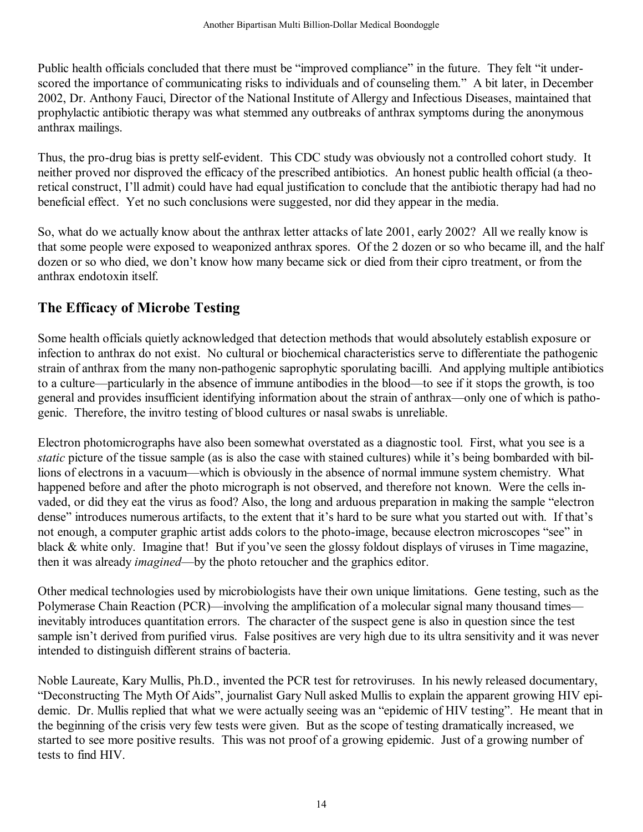Public health officials concluded that there must be "improved compliance" in the future. They felt "it underscored the importance of communicating risks to individuals and of counseling them." A bit later, in December 2002, Dr. Anthony Fauci, Director of the National Institute of Allergy and Infectious Diseases, maintained that prophylactic antibiotic therapy was what stemmed any outbreaks of anthrax symptoms during the anonymous anthrax mailings.

Thus, the pro-drug bias is pretty self-evident. This CDC study was obviously not a controlled cohort study. It neither proved nor disproved the efficacy of the prescribed antibiotics. An honest public health official (a theoretical construct, I'll admit) could have had equal justification to conclude that the antibiotic therapy had had no beneficial effect. Yet no such conclusions were suggested, nor did they appear in the media.

So, what do we actually know about the anthrax letter attacks of late 2001, early 2002? All we really know is that some people were exposed to weaponized anthrax spores. Of the 2 dozen or so who became ill, and the half dozen or so who died, we don't know how many became sick or died from their cipro treatment, or from the anthrax endotoxin itself.

#### **The Efficacy of Microbe Testing**

Some health officials quietly acknowledged that detection methods that would absolutely establish exposure or infection to anthrax do not exist. No cultural or biochemical characteristics serve to differentiate the pathogenic strain of anthrax from the many non-pathogenic saprophytic sporulating bacilli. And applying multiple antibiotics to a culture—particularly in the absence of immune antibodies in the blood—to see if it stops the growth, is too general and provides insufficient identifying information about the strain of anthrax—only one of which is pathogenic. Therefore, the invitro testing of blood cultures or nasal swabs is unreliable.

Electron photomicrographs have also been somewhat overstated as a diagnostic tool. First, what you see is a *static* picture of the tissue sample (as is also the case with stained cultures) while it's being bombarded with billions of electrons in a vacuum—which is obviously in the absence of normal immune system chemistry. What happened before and after the photo micrograph is not observed, and therefore not known. Were the cells invaded, or did they eat the virus as food? Also, the long and arduous preparation in making the sample "electron dense" introduces numerous artifacts, to the extent that it's hard to be sure what you started out with. If that's not enough, a computer graphic artist adds colors to the photo-image, because electron microscopes "see" in black & white only. Imagine that! But if you've seen the glossy foldout displays of viruses in Time magazine, then it was already *imagined*—by the photo retoucher and the graphics editor.

Other medical technologies used by microbiologists have their own unique limitations. Gene testing, such as the Polymerase Chain Reaction (PCR)—involving the amplification of a molecular signal many thousand times inevitably introduces quantitation errors. The character of the suspect gene is also in question since the test sample isn't derived from purified virus. False positives are very high due to its ultra sensitivity and it was never intended to distinguish different strains of bacteria.

Noble Laureate, Kary Mullis, Ph.D., invented the PCR test for retroviruses. In his newly released documentary, "Deconstructing The Myth Of Aids", journalist Gary Null asked Mullis to explain the apparent growing HIV epidemic. Dr. Mullis replied that what we were actually seeing was an "epidemic of HIV testing". He meant that in the beginning of the crisis very few tests were given. But as the scope of testing dramatically increased, we started to see more positive results. This was not proof of a growing epidemic. Just of a growing number of tests to find HIV.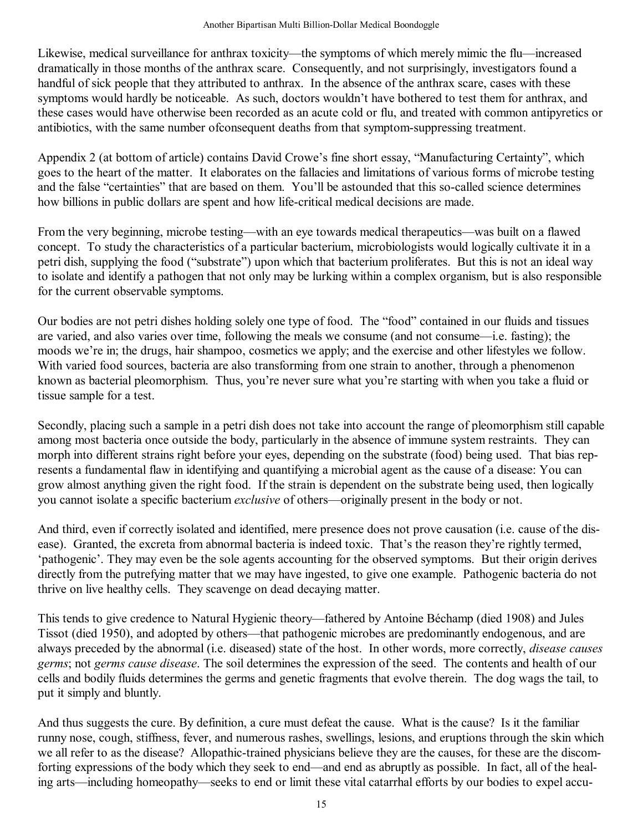Likewise, medical surveillance for anthrax toxicity—the symptoms of which merely mimic the flu—increased dramatically in those months of the anthrax scare. Consequently, and not surprisingly, investigators found a handful of sick people that they attributed to anthrax. In the absence of the anthrax scare, cases with these symptoms would hardly be noticeable. As such, doctors wouldn't have bothered to test them for anthrax, and these cases would have otherwise been recorded as an acute cold or flu, and treated with common antipyretics or antibiotics, with the same number ofconsequent deaths from that symptom-suppressing treatment.

Appendix 2 (at bottom of article) contains David Crowe's fine short essay, "Manufacturing Certainty", which goes to the heart of the matter. It elaborates on the fallacies and limitations of various forms of microbe testing and the false "certainties" that are based on them. You'll be astounded that this so-called science determines how billions in public dollars are spent and how life-critical medical decisions are made.

From the very beginning, microbe testing—with an eye towards medical therapeutics—was built on a flawed concept. To study the characteristics of a particular bacterium, microbiologists would logically cultivate it in a petri dish, supplying the food ("substrate") upon which that bacterium proliferates. But this is not an ideal way to isolate and identify a pathogen that not only may be lurking within a complex organism, but is also responsible for the current observable symptoms.

Our bodies are not petri dishes holding solely one type of food. The "food" contained in our fluids and tissues are varied, and also varies over time, following the meals we consume (and not consume—i.e. fasting); the moods we're in; the drugs, hair shampoo, cosmetics we apply; and the exercise and other lifestyles we follow. With varied food sources, bacteria are also transforming from one strain to another, through a phenomenon known as bacterial pleomorphism. Thus, you're never sure what you're starting with when you take a fluid or tissue sample for a test.

Secondly, placing such a sample in a petri dish does not take into account the range of pleomorphism still capable among most bacteria once outside the body, particularly in the absence of immune system restraints. They can morph into different strains right before your eyes, depending on the substrate (food) being used. That bias represents a fundamental flaw in identifying and quantifying a microbial agent as the cause of a disease: You can grow almost anything given the right food. If the strain is dependent on the substrate being used, then logically you cannot isolate a specific bacterium *exclusive* of others—originally present in the body or not.

And third, even if correctly isolated and identified, mere presence does not prove causation (i.e. cause of the disease). Granted, the excreta from abnormal bacteria is indeed toxic. That's the reason they're rightly termed, 'pathogenic'. They may even be the sole agents accounting for the observed symptoms. But their origin derives directly from the putrefying matter that we may have ingested, to give one example. Pathogenic bacteria do not thrive on live healthy cells. They scavenge on dead decaying matter.

This tends to give credence to Natural Hygienic theory—fathered by Antoine Béchamp (died 1908) and Jules Tissot (died 1950), and adopted by others—that pathogenic microbes are predominantly endogenous, and are always preceded by the abnormal (i.e. diseased) state of the host. In other words, more correctly, *disease causes germs*; not *germs cause disease*. The soil determines the expression of the seed. The contents and health of our cells and bodily fluids determines the germs and genetic fragments that evolve therein. The dog wags the tail, to put it simply and bluntly.

And thus suggests the cure. By definition, a cure must defeat the cause. What is the cause? Is it the familiar runny nose, cough, stiffness, fever, and numerous rashes, swellings, lesions, and eruptions through the skin which we all refer to as the disease? Allopathic-trained physicians believe they are the causes, for these are the discomforting expressions of the body which they seek to end—and end as abruptly as possible. In fact, all of the healing arts—including homeopathy—seeks to end or limit these vital catarrhal efforts by our bodies to expel accu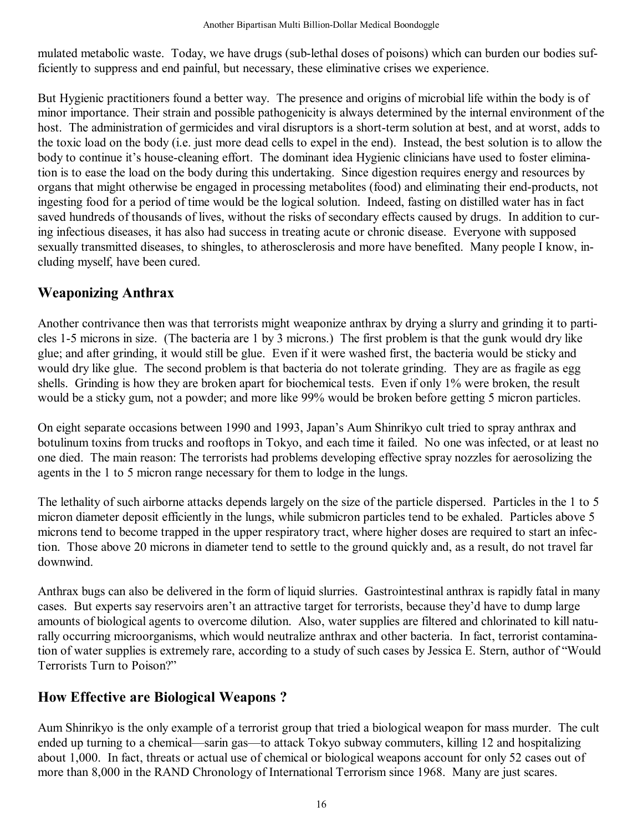mulated metabolic waste. Today, we have drugs (sub-lethal doses of poisons) which can burden our bodies sufficiently to suppress and end painful, but necessary, these eliminative crises we experience.

But Hygienic practitioners found a better way. The presence and origins of microbial life within the body is of minor importance. Their strain and possible pathogenicity is always determined by the internal environment of the host. The administration of germicides and viral disruptors is a short-term solution at best, and at worst, adds to the toxic load on the body (i.e. just more dead cells to expel in the end). Instead, the best solution is to allow the body to continue it's house-cleaning effort. The dominant idea Hygienic clinicians have used to foster elimination is to ease the load on the body during this undertaking. Since digestion requires energy and resources by organs that might otherwise be engaged in processing metabolites (food) and eliminating their end-products, not ingesting food for a period of time would be the logical solution. Indeed, fasting on distilled water has in fact saved hundreds of thousands of lives, without the risks of secondary effects caused by drugs. In addition to curing infectious diseases, it has also had success in treating acute or chronic disease. Everyone with supposed sexually transmitted diseases, to shingles, to atherosclerosis and more have benefited. Many people I know, including myself, have been cured.

#### **Weaponizing Anthrax**

Another contrivance then was that terrorists might weaponize anthrax by drying a slurry and grinding it to particles 1-5 microns in size. (The bacteria are 1 by 3 microns.) The first problem is that the gunk would dry like glue; and after grinding, it would still be glue. Even if it were washed first, the bacteria would be sticky and would dry like glue. The second problem is that bacteria do not tolerate grinding. They are as fragile as egg shells. Grinding is how they are broken apart for biochemical tests. Even if only 1% were broken, the result would be a sticky gum, not a powder; and more like 99% would be broken before getting 5 micron particles.

On eight separate occasions between 1990 and 1993, Japan's Aum Shinrikyo cult tried to spray anthrax and botulinum toxins from trucks and rooftops in Tokyo, and each time it failed. No one was infected, or at least no one died. The main reason: The terrorists had problems developing effective spray nozzles for aerosolizing the agents in the 1 to 5 micron range necessary for them to lodge in the lungs.

The lethality of such airborne attacks depends largely on the size of the particle dispersed. Particles in the 1 to 5 micron diameter deposit efficiently in the lungs, while submicron particles tend to be exhaled. Particles above 5 microns tend to become trapped in the upper respiratory tract, where higher doses are required to start an infection. Those above 20 microns in diameter tend to settle to the ground quickly and, as a result, do not travel far downwind.

Anthrax bugs can also be delivered in the form of liquid slurries. Gastrointestinal anthrax is rapidly fatal in many cases. But experts say reservoirs aren't an attractive target for terrorists, because they'd have to dump large amounts of biological agents to overcome dilution. Also, water supplies are filtered and chlorinated to kill naturally occurring microorganisms, which would neutralize anthrax and other bacteria. In fact, terrorist contamination of water supplies is extremely rare, according to a study of such cases by Jessica E. Stern, author of "Would Terrorists Turn to Poison?"

#### **How Effective are Biological Weapons ?**

Aum Shinrikyo is the only example of a terrorist group that tried a biological weapon for mass murder. The cult ended up turning to a chemical—sarin gas—to attack Tokyo subway commuters, killing 12 and hospitalizing about 1,000. In fact, threats or actual use of chemical or biological weapons account for only 52 cases out of more than 8,000 in the RAND Chronology of International Terrorism since 1968. Many are just scares.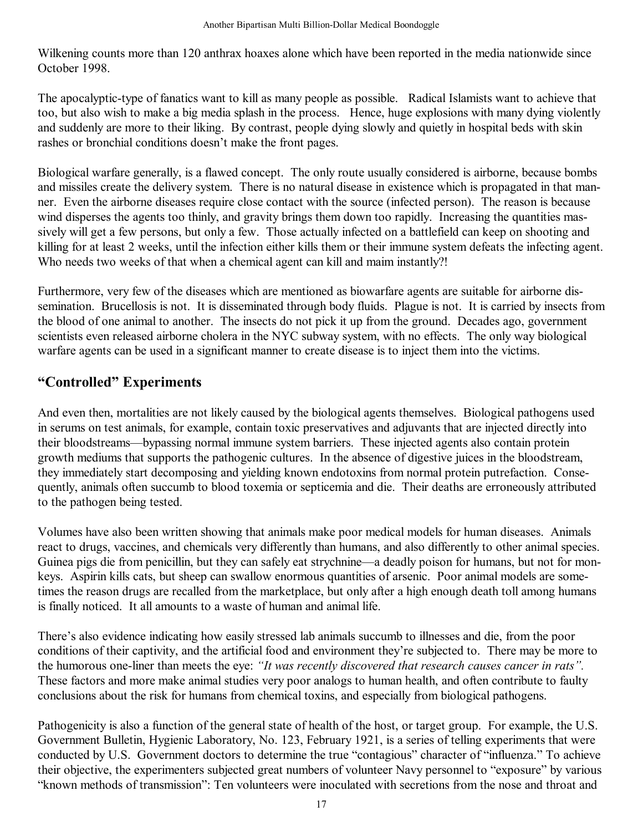Wilkening counts more than 120 anthrax hoaxes alone which have been reported in the media nationwide since October 1998.

The apocalyptic-type of fanatics want to kill as many people as possible. Radical Islamists want to achieve that too, but also wish to make a big media splash in the process. Hence, huge explosions with many dying violently and suddenly are more to their liking. By contrast, people dying slowly and quietly in hospital beds with skin rashes or bronchial conditions doesn't make the front pages.

Biological warfare generally, is a flawed concept. The only route usually considered is airborne, because bombs and missiles create the delivery system. There is no natural disease in existence which is propagated in that manner. Even the airborne diseases require close contact with the source (infected person). The reason is because wind disperses the agents too thinly, and gravity brings them down too rapidly. Increasing the quantities massively will get a few persons, but only a few. Those actually infected on a battlefield can keep on shooting and killing for at least 2 weeks, until the infection either kills them or their immune system defeats the infecting agent. Who needs two weeks of that when a chemical agent can kill and maim instantly?!

Furthermore, very few of the diseases which are mentioned as biowarfare agents are suitable for airborne dissemination. Brucellosis is not. It is disseminated through body fluids. Plague is not. It is carried by insects from the blood of one animal to another. The insects do not pick it up from the ground. Decades ago, government scientists even released airborne cholera in the NYC subway system, with no effects. The only way biological warfare agents can be used in a significant manner to create disease is to inject them into the victims.

# **"Controlled" Experiments**

And even then, mortalities are not likely caused by the biological agents themselves. Biological pathogens used in serums on test animals, for example, contain toxic preservatives and adjuvants that are injected directly into their bloodstreams—bypassing normal immune system barriers. These injected agents also contain protein growth mediums that supports the pathogenic cultures. In the absence of digestive juices in the bloodstream, they immediately start decomposing and yielding known endotoxins from normal protein putrefaction. Consequently, animals often succumb to blood toxemia or septicemia and die. Their deaths are erroneously attributed to the pathogen being tested.

Volumes have also been written showing that animals make poor medical models for human diseases. Animals react to drugs, vaccines, and chemicals very differently than humans, and also differently to other animal species. Guinea pigs die from penicillin, but they can safely eat strychnine—a deadly poison for humans, but not for monkeys. Aspirin kills cats, but sheep can swallow enormous quantities of arsenic. Poor animal models are sometimes the reason drugs are recalled from the marketplace, but only after a high enough death toll among humans is finally noticed. It all amounts to a waste of human and animal life.

There's also evidence indicating how easily stressed lab animals succumb to illnesses and die, from the poor conditions of their captivity, and the artificial food and environment they're subjected to. There may be more to the humorous one-liner than meets the eye: *"It was recently discovered that research causes cancer in rats".* These factors and more make animal studies very poor analogs to human health, and often contribute to faulty conclusions about the risk for humans from chemical toxins, and especially from biological pathogens.

Pathogenicity is also a function of the general state of health of the host, or target group. For example, the U.S. Government Bulletin, Hygienic Laboratory, No. 123, February 1921, is a series of telling experiments that were conducted by U.S. Government doctors to determine the true "contagious" character of "influenza." To achieve their objective, the experimenters subjected great numbers of volunteer Navy personnel to "exposure" by various "known methods of transmission": Ten volunteers were inoculated with secretions from the nose and throat and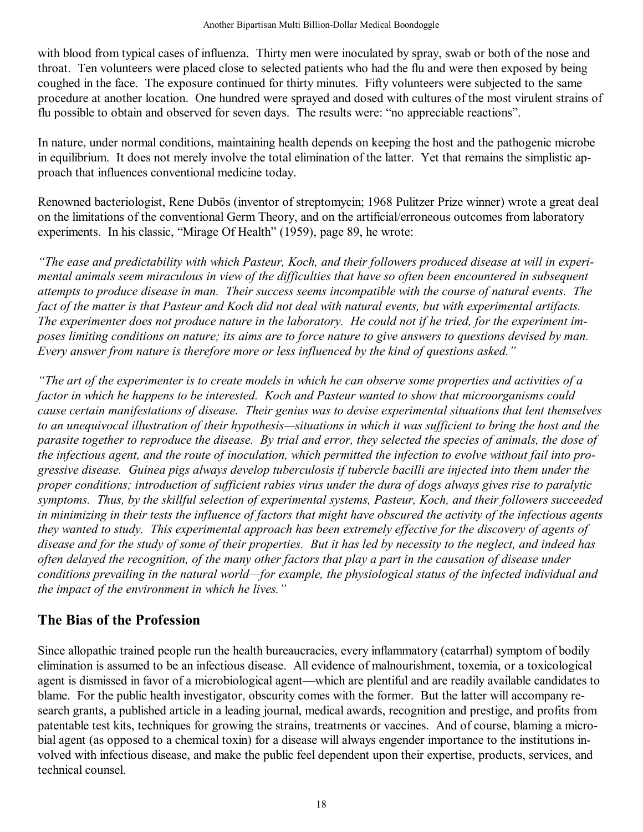with blood from typical cases of influenza. Thirty men were inoculated by spray, swab or both of the nose and throat. Ten volunteers were placed close to selected patients who had the flu and were then exposed by being coughed in the face. The exposure continued for thirty minutes. Fifty volunteers were subjected to the same procedure at another location. One hundred were sprayed and dosed with cultures of the most virulent strains of flu possible to obtain and observed for seven days. The results were: "no appreciable reactions".

In nature, under normal conditions, maintaining health depends on keeping the host and the pathogenic microbe in equilibrium. It does not merely involve the total elimination of the latter. Yet that remains the simplistic approach that influences conventional medicine today.

Renowned bacteriologist, Rene Dubös (inventor of streptomycin; 1968 Pulitzer Prize winner) wrote a great deal on the limitations of the conventional Germ Theory, and on the artificial/erroneous outcomes from laboratory experiments. In his classic, "Mirage Of Health" (1959), page 89, he wrote:

*"The ease and predictability with which Pasteur, Koch, and their followers produced disease at will in experi*mental animals seem miraculous in view of the difficulties that have so often been encountered in subsequent *attempts to produce disease in man. Their success seems incompatible with the course of natural events. The* fact of the matter is that Pasteur and Koch did not deal with natural events, but with experimental artifacts. The experimenter does not produce nature in the laboratory. He could not if he tried, for the experiment imposes limiting conditions on nature; its aims are to force nature to give answers to questions devised by man. *Every answer from nature is therefore more or less influenced by the kind of questions asked."*

"The art of the experimenter is to create models in which he can observe some properties and activities of a *factor in which he happens to be interested. Koch and Pasteur wanted to show that microorganisms could cause certain manifestations of disease. Their genius was to devise experimental situations that lent themselves* to an unequivocal illustration of their hypothesis—situations in which it was sufficient to bring the host and the parasite together to reproduce the disease. By trial and error, they selected the species of animals, the dose of the infectious agent, and the route of inoculation, which permitted the infection to evolve without fail into pro*gressive disease. Guinea pigs always develop tuberculosis if tubercle bacilli are injected into them under the* proper conditions; introduction of sufficient rabies virus under the dura of dogs always gives rise to paralytic *symptoms. Thus, by the skillful selection of experimental systems, Pasteur, Koch, and their followers succeeded* in minimizing in their tests the influence of factors that might have obscured the activity of the infectious agents *they wanted to study. This experimental approach has been extremely effective for the discovery of agents of* disease and for the study of some of their properties. But it has led by necessity to the neglect, and indeed has often delayed the recognition, of the many other factors that play a part in the causation of disease under *conditions prevailing in the natural world—for example, the physiological status of the infected individual and the impact of the environment in which he lives."*

#### **The Bias of the Profession**

Since allopathic trained people run the health bureaucracies, every inflammatory (catarrhal) symptom of bodily elimination is assumed to be an infectious disease. All evidence of malnourishment, toxemia, or a toxicological agent is dismissed in favor of a microbiological agent—which are plentiful and are readily available candidates to blame. For the public health investigator, obscurity comes with the former. But the latter will accompany research grants, a published article in a leading journal, medical awards, recognition and prestige, and profits from patentable test kits, techniques for growing the strains, treatments or vaccines. And of course, blaming a microbial agent (as opposed to a chemical toxin) for a disease will always engender importance to the institutions involved with infectious disease, and make the public feel dependent upon their expertise, products, services, and technical counsel.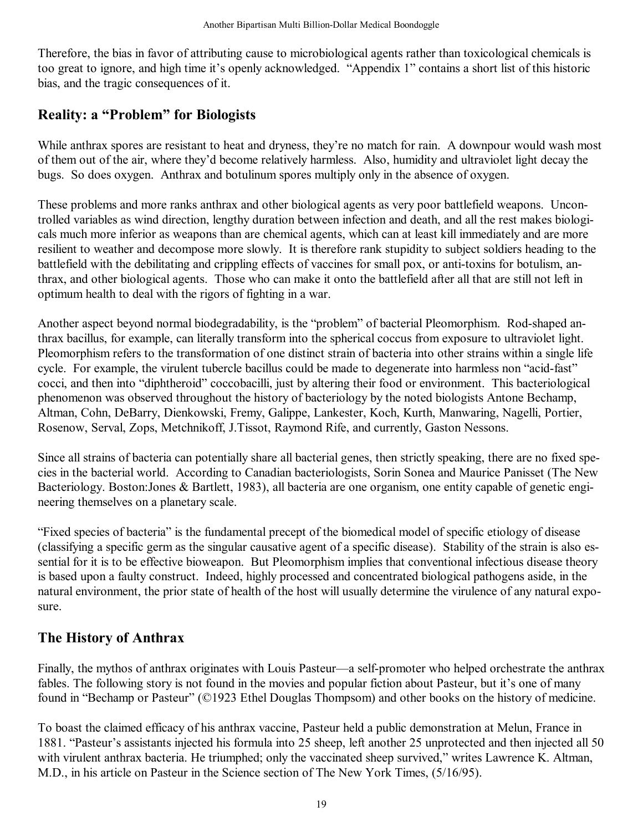Therefore, the bias in favor of attributing cause to microbiological agents rather than toxicological chemicals is too great to ignore, and high time it's openly acknowledged. "Appendix 1" contains a short list of this historic bias, and the tragic consequences of it.

#### **Reality: a "Problem" for Biologists**

While anthrax spores are resistant to heat and dryness, they're no match for rain. A downpour would wash most of them out of the air, where they'd become relatively harmless. Also, humidity and ultraviolet light decay the bugs. So does oxygen. Anthrax and botulinum spores multiply only in the absence of oxygen.

These problems and more ranks anthrax and other biological agents as very poor battlefield weapons. Uncontrolled variables as wind direction, lengthy duration between infection and death, and all the rest makes biologicals much more inferior as weapons than are chemical agents, which can at least kill immediately and are more resilient to weather and decompose more slowly. It is therefore rank stupidity to subject soldiers heading to the battlefield with the debilitating and crippling effects of vaccines for small pox, or anti-toxins for botulism, anthrax, and other biological agents. Those who can make it onto the battlefield after all that are still not left in optimum health to deal with the rigors of fighting in a war.

Another aspect beyond normal biodegradability, is the "problem" of bacterial Pleomorphism. Rod-shaped anthrax bacillus, for example, can literally transform into the spherical coccus from exposure to ultraviolet light. Pleomorphism refers to the transformation of one distinct strain of bacteria into other strains within a single life cycle. For example, the virulent tubercle bacillus could be made to degenerate into harmless non "acid-fast" cocci, and then into "diphtheroid" coccobacilli, just by altering their food or environment. This bacteriological phenomenon was observed throughout the history of bacteriology by the noted biologists Antone Bechamp, Altman, Cohn, DeBarry, Dienkowski, Fremy, Galippe, Lankester, Koch, Kurth, Manwaring, Nagelli, Portier, Rosenow, Serval, Zops, Metchnikoff, J.Tissot, Raymond Rife, and currently, Gaston Nessons.

Since all strains of bacteria can potentially share all bacterial genes, then strictly speaking, there are no fixed species in the bacterial world. According to Canadian bacteriologists, Sorin Sonea and Maurice Panisset (The New Bacteriology. Boston:Jones & Bartlett, 1983), all bacteria are one organism, one entity capable of genetic engineering themselves on a planetary scale.

"Fixed species of bacteria" is the fundamental precept of the biomedical model of specific etiology of disease (classifying a specific germ as the singular causative agent of a specific disease). Stability of the strain is also essential for it is to be effective bioweapon. But Pleomorphism implies that conventional infectious disease theory is based upon a faulty construct. Indeed, highly processed and concentrated biological pathogens aside, in the natural environment, the prior state of health of the host will usually determine the virulence of any natural exposure.

#### **The History of Anthrax**

Finally, the mythos of anthrax originates with Louis Pasteur—a self-promoter who helped orchestrate the anthrax fables. The following story is not found in the movies and popular fiction about Pasteur, but it's one of many found in "Bechamp or Pasteur" (©1923 Ethel Douglas Thompsom) and other books on the history of medicine.

To boast the claimed efficacy of his anthrax vaccine, Pasteur held a public demonstration at Melun, France in 1881. "Pasteur's assistants injected his formula into 25 sheep, left another 25 unprotected and then injected all 50 with virulent anthrax bacteria. He triumphed; only the vaccinated sheep survived," writes Lawrence K. Altman, M.D., in his article on Pasteur in the Science section of The New York Times, (5/16/95).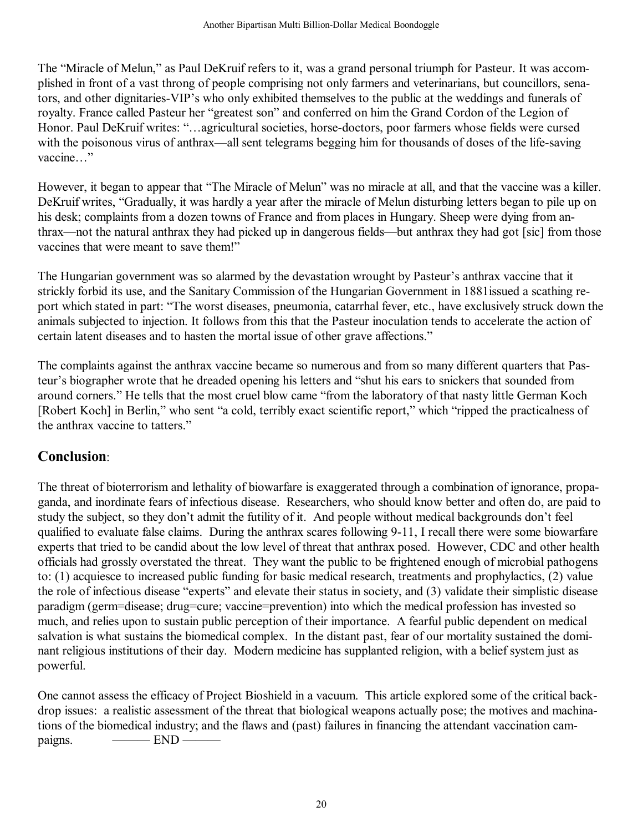The "Miracle of Melun," as Paul DeKruif refers to it, was a grand personal triumph for Pasteur. It was accomplished in front of a vast throng of people comprising not only farmers and veterinarians, but councillors, senators, and other dignitaries-VIP's who only exhibited themselves to the public at the weddings and funerals of royalty. France called Pasteur her "greatest son" and conferred on him the Grand Cordon of the Legion of Honor. Paul DeKruif writes: "…agricultural societies, horse-doctors, poor farmers whose fields were cursed with the poisonous virus of anthrax—all sent telegrams begging him for thousands of doses of the life-saving vaccine…"

However, it began to appear that "The Miracle of Melun" was no miracle at all, and that the vaccine was a killer. DeKruif writes, "Gradually, it was hardly a year after the miracle of Melun disturbing letters began to pile up on his desk; complaints from a dozen towns of France and from places in Hungary. Sheep were dying from anthrax—not the natural anthrax they had picked up in dangerous fields—but anthrax they had got [sic] from those vaccines that were meant to save them!"

The Hungarian government was so alarmed by the devastation wrought by Pasteur's anthrax vaccine that it strickly forbid its use, and the Sanitary Commission of the Hungarian Government in 1881issued a scathing report which stated in part: "The worst diseases, pneumonia, catarrhal fever, etc., have exclusively struck down the animals subjected to injection. It follows from this that the Pasteur inoculation tends to accelerate the action of certain latent diseases and to hasten the mortal issue of other grave affections."

The complaints against the anthrax vaccine became so numerous and from so many different quarters that Pasteur's biographer wrote that he dreaded opening his letters and "shut his ears to snickers that sounded from around corners." He tells that the most cruel blow came "from the laboratory of that nasty little German Koch [Robert Koch] in Berlin," who sent "a cold, terribly exact scientific report," which "ripped the practicalness of the anthrax vaccine to tatters."

#### **Conclusion**:

The threat of bioterrorism and lethality of biowarfare is exaggerated through a combination of ignorance, propaganda, and inordinate fears of infectious disease. Researchers, who should know better and often do, are paid to study the subject, so they don't admit the futility of it. And people without medical backgrounds don't feel qualified to evaluate false claims. During the anthrax scares following 9-11, I recall there were some biowarfare experts that tried to be candid about the low level of threat that anthrax posed. However, CDC and other health officials had grossly overstated the threat. They want the public to be frightened enough of microbial pathogens to: (1) acquiesce to increased public funding for basic medical research, treatments and prophylactics, (2) value the role of infectious disease "experts" and elevate their status in society, and (3) validate their simplistic disease paradigm (germ=disease; drug=cure; vaccine=prevention) into which the medical profession has invested so much, and relies upon to sustain public perception of their importance. A fearful public dependent on medical salvation is what sustains the biomedical complex. In the distant past, fear of our mortality sustained the dominant religious institutions of their day. Modern medicine has supplanted religion, with a belief system just as powerful.

One cannot assess the efficacy of Project Bioshield in a vacuum. This article explored some of the critical backdrop issues: a realistic assessment of the threat that biological weapons actually pose; the motives and machinations of the biomedical industry; and the flaws and (past) failures in financing the attendant vaccination campaigns. ——— END ———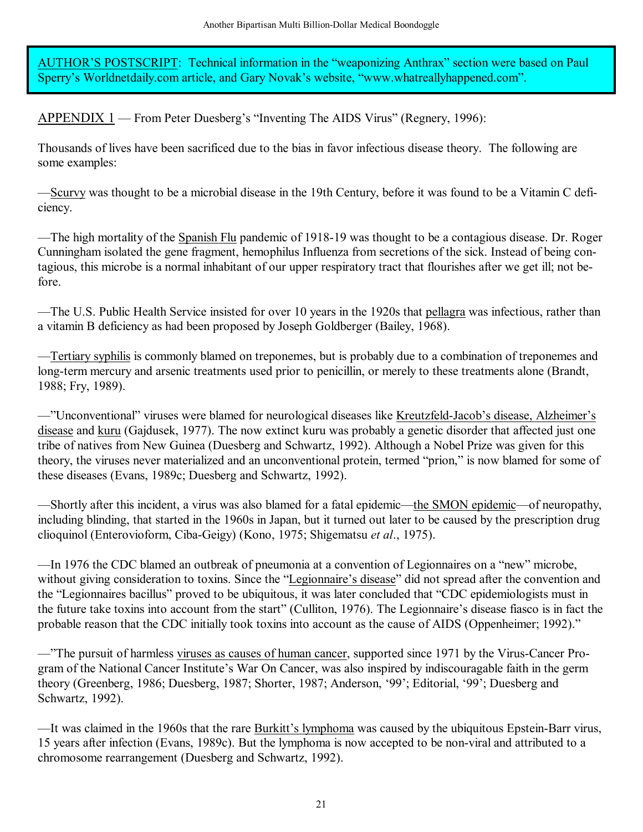AUTHOR'S POSTSCRIPT: Technical information in the "weaponizing Anthrax" section were based on Paul Sperry's Worldnetdaily.com article, and Gary Novak's website, "www.whatreallyhappened.com".

APPENDIX 1 — From Peter Duesberg's "Inventing The AIDS Virus" (Regnery, 1996):

Thousands of lives have been sacrificed due to the bias in favor infectious disease theory. The following are some examples:

—Scurvy was thought to be a microbial disease in the 19th Century, before it was found to be a Vitamin C deficiency.

—The high mortality of the Spanish Flu pandemic of 1918-19 was thought to be a contagious disease. Dr. Roger Cunningham isolated the gene fragment, hemophilus Influenza from secretions of the sick. Instead of being contagious, this microbe is a normal inhabitant of our upper respiratory tract that flourishes after we get ill; not before.

—The U.S. Public Health Service insisted for over 10 years in the 1920s that pellagra was infectious, rather than a vitamin B deficiency as had been proposed by Joseph Goldberger (Bailey, 1968).

—Tertiary syphilis is commonly blamed on treponemes, but is probably due to a combination of treponemes and long-term mercury and arsenic treatments used prior to penicillin, or merely to these treatments alone (Brandt, 1988; Fry, 1989).

—"Unconventional" viruses were blamed for neurological diseases like Kreutzfeld-Jacob's disease, Alzheimer's disease and kuru (Gajdusek, 1977). The now extinct kuru was probably a genetic disorder that affected just one tribe of natives from New Guinea (Duesberg and Schwartz, 1992). Although a Nobel Prize was given for this theory, the viruses never materialized and an unconventional protein, termed "prion," is now blamed for some of these diseases (Evans, 1989c; Duesberg and Schwartz, 1992).

—Shortly after this incident, a virus was also blamed for a fatal epidemic—the SMON epidemic—of neuropathy, including blinding, that started in the 1960s in Japan, but it turned out later to be caused by the prescription drug clioquinol (Enterovioform, Ciba-Geigy) (Kono, 1975; Shigematsu *et al*., 1975).

—In 1976 the CDC blamed an outbreak of pneumonia at a convention of Legionnaires on a "new" microbe, without giving consideration to toxins. Since the "Legionnaire's disease" did not spread after the convention and the "Legionnaires bacillus" proved to be ubiquitous, it was later concluded that "CDC epidemiologists must in the future take toxins into account from the start" (Culliton, 1976). The Legionnaire's disease fiasco is in fact the probable reason that the CDC initially took toxins into account as the cause of AIDS (Oppenheimer; 1992)."

—"The pursuit of harmless viruses as causes of human cancer, supported since 1971 by the Virus-Cancer Program of the National Cancer Institute's War On Cancer, was also inspired by indiscouragable faith in the germ theory (Greenberg, 1986; Duesberg, 1987; Shorter, 1987; Anderson, '99'; Editorial, '99'; Duesberg and Schwartz, 1992).

—It was claimed in the 1960s that the rare Burkitt's lymphoma was caused by the ubiquitous Epstein-Barr virus, 15 years after infection (Evans, 1989c). But the lymphoma is now accepted to be non-viral and attributed to a chromosome rearrangement (Duesberg and Schwartz, 1992).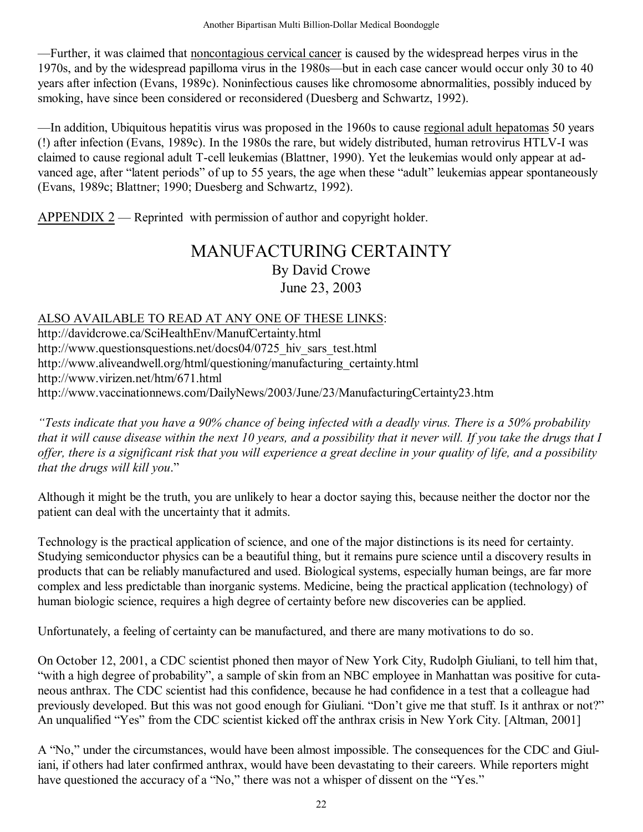—Further, it was claimed that noncontagious cervical cancer is caused by the widespread herpes virus in the 1970s, and by the widespread papilloma virus in the 1980s—but in each case cancer would occur only 30 to 40 years after infection (Evans, 1989c). Noninfectious causes like chromosome abnormalities, possibly induced by smoking, have since been considered or reconsidered (Duesberg and Schwartz, 1992).

—In addition, Ubiquitous hepatitis virus was proposed in the 1960s to cause regional adult hepatomas 50 years (!) after infection (Evans, 1989c). In the 1980s the rare, but widely distributed, human retrovirus HTLV-I was claimed to cause regional adult T-cell leukemias (Blattner, 1990). Yet the leukemias would only appear at advanced age, after "latent periods" of up to 55 years, the age when these "adult" leukemias appear spontaneously (Evans, 1989c; Blattner; 1990; Duesberg and Schwartz, 1992).

APPENDIX 2 — Reprinted with permission of author and copyright holder.

## MANUFACTURING CERTAINTY By David Crowe June 23, 2003

ALSO AVAILABLE TO READ AT ANY ONE OF THESE LINKS: http://davidcrowe.ca/SciHealthEnv/ManufCertainty.html http://www.questionsquestions.net/docs04/0725 hiv sars test.html http://www.aliveandwell.org/html/questioning/manufacturing\_certainty.html http://www.virizen.net/htm/671.html http://www.vaccinationnews.com/DailyNews/2003/June/23/ManufacturingCertainty23.htm

"Tests indicate that you have a 90% chance of being infected with a deadly virus. There is a 50% probability that it will cause disease within the next 10 years, and a possibility that it never will. If you take the drugs that I offer, there is a significant risk that you will experience a great decline in your quality of life, and a possibility *that the drugs will kill you*."

Although it might be the truth, you are unlikely to hear a doctor saying this, because neither the doctor nor the patient can deal with the uncertainty that it admits.

Technology is the practical application of science, and one of the major distinctions is its need for certainty. Studying semiconductor physics can be a beautiful thing, but it remains pure science until a discovery results in products that can be reliably manufactured and used. Biological systems, especially human beings, are far more complex and less predictable than inorganic systems. Medicine, being the practical application (technology) of human biologic science, requires a high degree of certainty before new discoveries can be applied.

Unfortunately, a feeling of certainty can be manufactured, and there are many motivations to do so.

On October 12, 2001, a CDC scientist phoned then mayor of New York City, Rudolph Giuliani, to tell him that, "with a high degree of probability", a sample of skin from an NBC employee in Manhattan was positive for cutaneous anthrax. The CDC scientist had this confidence, because he had confidence in a test that a colleague had previously developed. But this was not good enough for Giuliani. "Don't give me that stuff. Is it anthrax or not?" An unqualified "Yes" from the CDC scientist kicked off the anthrax crisis in New York City. [Altman, 2001]

A "No," under the circumstances, would have been almost impossible. The consequences for the CDC and Giuliani, if others had later confirmed anthrax, would have been devastating to their careers. While reporters might have questioned the accuracy of a "No," there was not a whisper of dissent on the "Yes."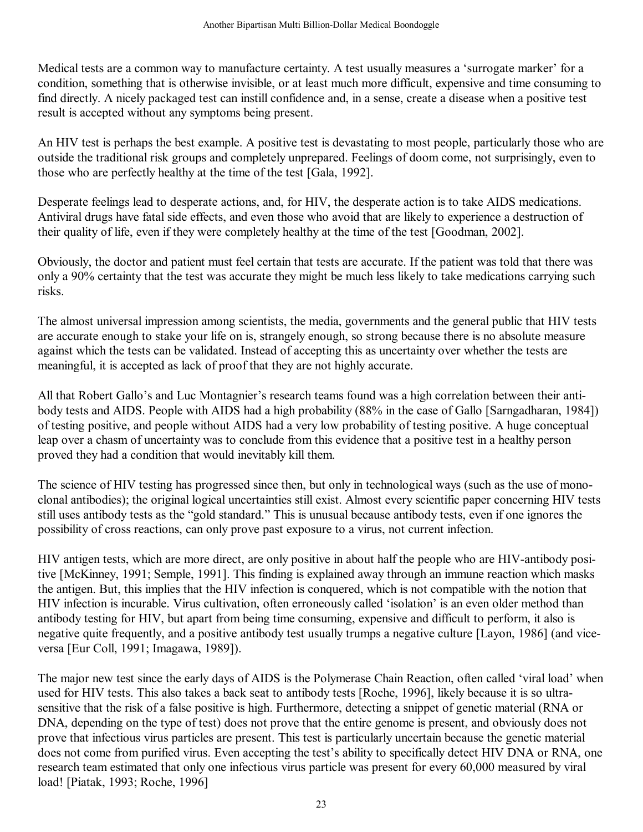Medical tests are a common way to manufacture certainty. A test usually measures a 'surrogate marker' for a condition, something that is otherwise invisible, or at least much more difficult, expensive and time consuming to find directly. A nicely packaged test can instill confidence and, in a sense, create a disease when a positive test result is accepted without any symptoms being present.

An HIV test is perhaps the best example. A positive test is devastating to most people, particularly those who are outside the traditional risk groups and completely unprepared. Feelings of doom come, not surprisingly, even to those who are perfectly healthy at the time of the test [Gala, 1992].

Desperate feelings lead to desperate actions, and, for HIV, the desperate action is to take AIDS medications. Antiviral drugs have fatal side effects, and even those who avoid that are likely to experience a destruction of their quality of life, even if they were completely healthy at the time of the test [Goodman, 2002].

Obviously, the doctor and patient must feel certain that tests are accurate. If the patient was told that there was only a 90% certainty that the test was accurate they might be much less likely to take medications carrying such risks.

The almost universal impression among scientists, the media, governments and the general public that HIV tests are accurate enough to stake your life on is, strangely enough, so strong because there is no absolute measure against which the tests can be validated. Instead of accepting this as uncertainty over whether the tests are meaningful, it is accepted as lack of proof that they are not highly accurate.

All that Robert Gallo's and Luc Montagnier's research teams found was a high correlation between their antibody tests and AIDS. People with AIDS had a high probability (88% in the case of Gallo [Sarngadharan, 1984]) of testing positive, and people without AIDS had a very low probability of testing positive. A huge conceptual leap over a chasm of uncertainty was to conclude from this evidence that a positive test in a healthy person proved they had a condition that would inevitably kill them.

The science of HIV testing has progressed since then, but only in technological ways (such as the use of monoclonal antibodies); the original logical uncertainties still exist. Almost every scientific paper concerning HIV tests still uses antibody tests as the "gold standard." This is unusual because antibody tests, even if one ignores the possibility of cross reactions, can only prove past exposure to a virus, not current infection.

HIV antigen tests, which are more direct, are only positive in about half the people who are HIV-antibody positive [McKinney, 1991; Semple, 1991]. This finding is explained away through an immune reaction which masks the antigen. But, this implies that the HIV infection is conquered, which is not compatible with the notion that HIV infection is incurable. Virus cultivation, often erroneously called 'isolation' is an even older method than antibody testing for HIV, but apart from being time consuming, expensive and difficult to perform, it also is negative quite frequently, and a positive antibody test usually trumps a negative culture [Layon, 1986] (and viceversa [Eur Coll, 1991; Imagawa, 1989]).

The major new test since the early days of AIDS is the Polymerase Chain Reaction, often called 'viral load' when used for HIV tests. This also takes a back seat to antibody tests [Roche, 1996], likely because it is so ultrasensitive that the risk of a false positive is high. Furthermore, detecting a snippet of genetic material (RNA or DNA, depending on the type of test) does not prove that the entire genome is present, and obviously does not prove that infectious virus particles are present. This test is particularly uncertain because the genetic material does not come from purified virus. Even accepting the test's ability to specifically detect HIV DNA or RNA, one research team estimated that only one infectious virus particle was present for every 60,000 measured by viral load! [Piatak, 1993; Roche, 1996]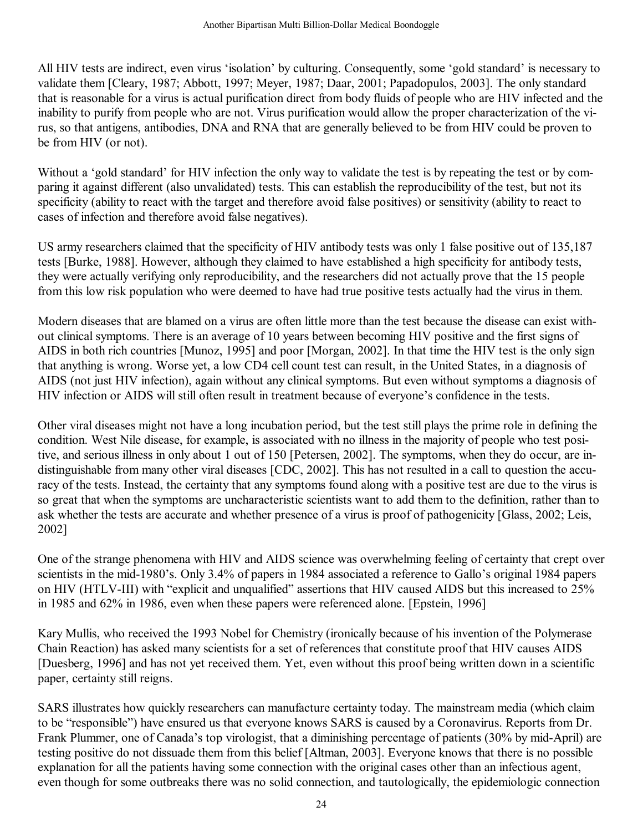All HIV tests are indirect, even virus 'isolation' by culturing. Consequently, some 'gold standard' is necessary to validate them [Cleary, 1987; Abbott, 1997; Meyer, 1987; Daar, 2001; Papadopulos, 2003]. The only standard that is reasonable for a virus is actual purification direct from body fluids of people who are HIV infected and the inability to purify from people who are not. Virus purification would allow the proper characterization of the virus, so that antigens, antibodies, DNA and RNA that are generally believed to be from HIV could be proven to be from HIV (or not).

Without a 'gold standard' for HIV infection the only way to validate the test is by repeating the test or by comparing it against different (also unvalidated) tests. This can establish the reproducibility of the test, but not its specificity (ability to react with the target and therefore avoid false positives) or sensitivity (ability to react to cases of infection and therefore avoid false negatives).

US army researchers claimed that the specificity of HIV antibody tests was only 1 false positive out of 135,187 tests [Burke, 1988]. However, although they claimed to have established a high specificity for antibody tests, they were actually verifying only reproducibility, and the researchers did not actually prove that the 15 people from this low risk population who were deemed to have had true positive tests actually had the virus in them.

Modern diseases that are blamed on a virus are often little more than the test because the disease can exist without clinical symptoms. There is an average of 10 years between becoming HIV positive and the first signs of AIDS in both rich countries [Munoz, 1995] and poor [Morgan, 2002]. In that time the HIV test is the only sign that anything is wrong. Worse yet, a low CD4 cell count test can result, in the United States, in a diagnosis of AIDS (not just HIV infection), again without any clinical symptoms. But even without symptoms a diagnosis of HIV infection or AIDS will still often result in treatment because of everyone's confidence in the tests.

Other viral diseases might not have a long incubation period, but the test still plays the prime role in defining the condition. West Nile disease, for example, is associated with no illness in the majority of people who test positive, and serious illness in only about 1 out of 150 [Petersen, 2002]. The symptoms, when they do occur, are indistinguishable from many other viral diseases [CDC, 2002]. This has not resulted in a call to question the accuracy of the tests. Instead, the certainty that any symptoms found along with a positive test are due to the virus is so great that when the symptoms are uncharacteristic scientists want to add them to the definition, rather than to ask whether the tests are accurate and whether presence of a virus is proof of pathogenicity [Glass, 2002; Leis, 2002]

One of the strange phenomena with HIV and AIDS science was overwhelming feeling of certainty that crept over scientists in the mid-1980's. Only 3.4% of papers in 1984 associated a reference to Gallo's original 1984 papers on HIV (HTLV-III) with "explicit and unqualified" assertions that HIV caused AIDS but this increased to 25% in 1985 and 62% in 1986, even when these papers were referenced alone. [Epstein, 1996]

Kary Mullis, who received the 1993 Nobel for Chemistry (ironically because of his invention of the Polymerase Chain Reaction) has asked many scientists for a set of references that constitute proof that HIV causes AIDS [Duesberg, 1996] and has not yet received them. Yet, even without this proof being written down in a scientific paper, certainty still reigns.

SARS illustrates how quickly researchers can manufacture certainty today. The mainstream media (which claim to be "responsible") have ensured us that everyone knows SARS is caused by a Coronavirus. Reports from Dr. Frank Plummer, one of Canada's top virologist, that a diminishing percentage of patients (30% by mid-April) are testing positive do not dissuade them from this belief [Altman, 2003]. Everyone knows that there is no possible explanation for all the patients having some connection with the original cases other than an infectious agent, even though for some outbreaks there was no solid connection, and tautologically, the epidemiologic connection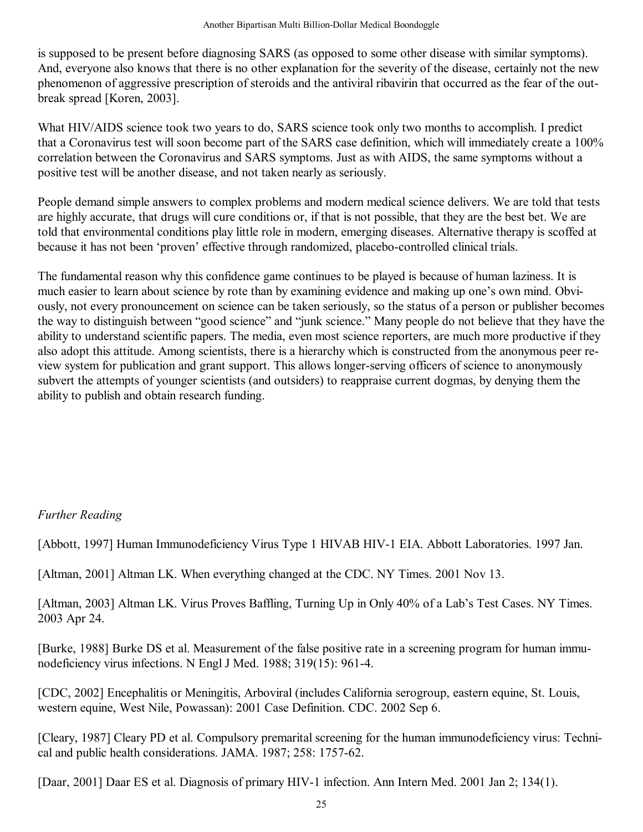is supposed to be present before diagnosing SARS (as opposed to some other disease with similar symptoms). And, everyone also knows that there is no other explanation for the severity of the disease, certainly not the new phenomenon of aggressive prescription of steroids and the antiviral ribavirin that occurred as the fear of the outbreak spread [Koren, 2003].

What HIV/AIDS science took two years to do, SARS science took only two months to accomplish. I predict that a Coronavirus test will soon become part of the SARS case definition, which will immediately create a 100% correlation between the Coronavirus and SARS symptoms. Just as with AIDS, the same symptoms without a positive test will be another disease, and not taken nearly as seriously.

People demand simple answers to complex problems and modern medical science delivers. We are told that tests are highly accurate, that drugs will cure conditions or, if that is not possible, that they are the best bet. We are told that environmental conditions play little role in modern, emerging diseases. Alternative therapy is scoffed at because it has not been 'proven' effective through randomized, placebo-controlled clinical trials.

The fundamental reason why this confidence game continues to be played is because of human laziness. It is much easier to learn about science by rote than by examining evidence and making up one's own mind. Obviously, not every pronouncement on science can be taken seriously, so the status of a person or publisher becomes the way to distinguish between "good science" and "junk science." Many people do not believe that they have the ability to understand scientific papers. The media, even most science reporters, are much more productive if they also adopt this attitude. Among scientists, there is a hierarchy which is constructed from the anonymous peer review system for publication and grant support. This allows longer-serving officers of science to anonymously subvert the attempts of younger scientists (and outsiders) to reappraise current dogmas, by denying them the ability to publish and obtain research funding.

#### *Further Reading*

[Abbott, 1997] Human Immunodeficiency Virus Type 1 HIVAB HIV-1 EIA. Abbott Laboratories. 1997 Jan.

[Altman, 2001] Altman LK. When everything changed at the CDC. NY Times. 2001 Nov 13.

[Altman, 2003] Altman LK. Virus Proves Baffling, Turning Up in Only 40% of a Lab's Test Cases. NY Times. 2003 Apr 24.

[Burke, 1988] Burke DS et al. Measurement of the false positive rate in a screening program for human immunodeficiency virus infections. N Engl J Med. 1988; 319(15): 961-4.

[CDC, 2002] Encephalitis or Meningitis, Arboviral (includes California serogroup, eastern equine, St. Louis, western equine, West Nile, Powassan): 2001 Case Definition. CDC. 2002 Sep 6.

[Cleary, 1987] Cleary PD et al. Compulsory premarital screening for the human immunodeficiency virus: Technical and public health considerations. JAMA. 1987; 258: 1757-62.

[Daar, 2001] Daar ES et al. Diagnosis of primary HIV-1 infection. Ann Intern Med. 2001 Jan 2; 134(1).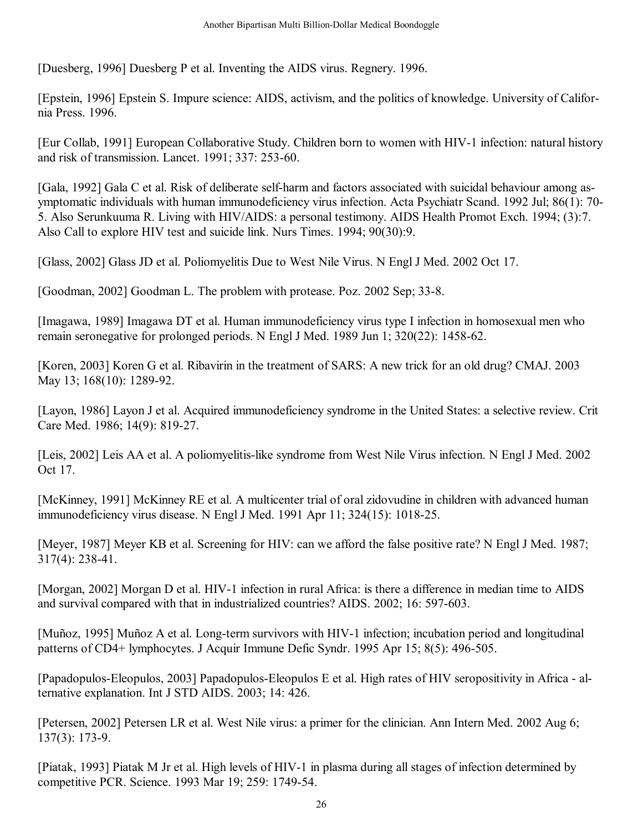[Duesberg, 1996] Duesberg P et al. Inventing the AIDS virus. Regnery. 1996.

[Epstein, 1996] Epstein S. Impure science: AIDS, activism, and the politics of knowledge. University of California Press. 1996.

[Eur Collab, 1991] European Collaborative Study. Children born to women with HIV-1 infection: natural history and risk of transmission. Lancet. 1991; 337: 253-60.

[Gala, 1992] Gala C et al. Risk of deliberate self-harm and factors associated with suicidal behaviour among asymptomatic individuals with human immunodeficiency virus infection. Acta Psychiatr Scand. 1992 Jul; 86(1): 70- 5. Also Serunkuuma R. Living with HIV/AIDS: a personal testimony. AIDS Health Promot Exch. 1994; (3):7. Also Call to explore HIV test and suicide link. Nurs Times. 1994; 90(30):9.

[Glass, 2002] Glass JD et al. Poliomyelitis Due to West Nile Virus. N Engl J Med. 2002 Oct 17.

[Goodman, 2002] Goodman L. The problem with protease. Poz. 2002 Sep; 33-8.

[Imagawa, 1989] Imagawa DT et al. Human immunodeficiency virus type I infection in homosexual men who remain seronegative for prolonged periods. N Engl J Med. 1989 Jun 1; 320(22): 1458-62.

[Koren, 2003] Koren G et al. Ribavirin in the treatment of SARS: A new trick for an old drug? CMAJ. 2003 May 13; 168(10): 1289-92.

[Layon, 1986] Layon J et al. Acquired immunodeficiency syndrome in the United States: a selective review. Crit Care Med. 1986; 14(9): 819-27.

[Leis, 2002] Leis AA et al. A poliomyelitis-like syndrome from West Nile Virus infection. N Engl J Med. 2002 Oct 17.

[McKinney, 1991] McKinney RE et al. A multicenter trial of oral zidovudine in children with advanced human immunodeficiency virus disease. N Engl J Med. 1991 Apr 11; 324(15): 1018-25.

[Meyer, 1987] Meyer KB et al. Screening for HIV: can we afford the false positive rate? N Engl J Med. 1987; 317(4): 238-41.

[Morgan, 2002] Morgan D et al. HIV-1 infection in rural Africa: is there a difference in median time to AIDS and survival compared with that in industrialized countries? AIDS. 2002; 16: 597-603.

[Muñoz, 1995] Muñoz A et al. Long-term survivors with HIV-1 infection; incubation period and longitudinal patterns of CD4+ lymphocytes. J Acquir Immune Defic Syndr. 1995 Apr 15; 8(5): 496-505.

[Papadopulos-Eleopulos, 2003] Papadopulos-Eleopulos E et al. High rates of HIV seropositivity in Africa - alternative explanation. Int J STD AIDS. 2003; 14: 426.

[Petersen, 2002] Petersen LR et al. West Nile virus: a primer for the clinician. Ann Intern Med. 2002 Aug 6; 137(3): 173-9.

[Piatak, 1993] Piatak M Jr et al. High levels of HIV-1 in plasma during all stages of infection determined by competitive PCR. Science. 1993 Mar 19; 259: 1749-54.